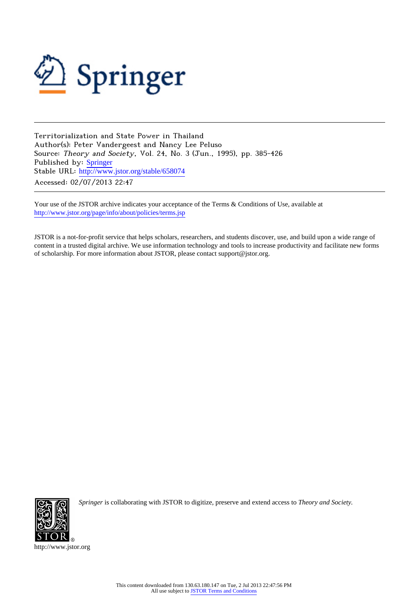

Territorialization and State Power in Thailand Author(s): Peter Vandergeest and Nancy Lee Peluso Source: Theory and Society, Vol. 24, No. 3 (Jun., 1995), pp. 385-426 Published by: [Springer](http://www.jstor.org/action/showPublisher?publisherCode=springer) Stable URL: http://www.jstor.org/stable/658074 Accessed: 02/07/2013 22:47

Your use of the JSTOR archive indicates your acceptance of the Terms & Conditions of Use, available at <http://www.jstor.org/page/info/about/policies/terms.jsp>

JSTOR is a not-for-profit service that helps scholars, researchers, and students discover, use, and build upon a wide range of content in a trusted digital archive. We use information technology and tools to increase productivity and facilitate new forms of scholarship. For more information about JSTOR, please contact support@jstor.org.



*Springer* is collaborating with JSTOR to digitize, preserve and extend access to *Theory and Society.*

http://www.jstor.org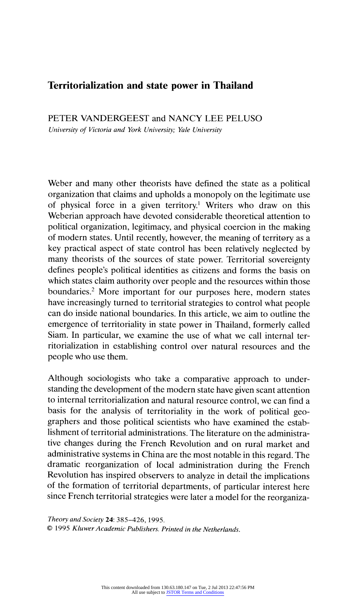# **Territorialization and state power in Thailand**

**PETER VANDERGEEST and NANCY LEE PELUSO University of Victoria and York University; Yale University** 

**Weber and many other theorists have defined the state as a political organization that claims and upholds a monopoly on the legitimate use of physical force in a given territory.1 Writers who draw on this Weberian approach have devoted considerable theoretical attention to political organization, legitimacy, and physical coercion in the making of modern states. Until recently, however, the meaning of territory as a key practical aspect of state control has been relatively neglected by many theorists of the sources of state power. Territorial sovereignty defines people's political identities as citizens and forms the basis on which states claim authority over people and the resources within those boundaries.2 More important for our purposes here, modern states have increasingly turned to territorial strategies to control what people can do inside national boundaries. In this article, we aim to outline the emergence of territoriality in state power in Thailand, formerly called Siam. In particular, we examine the use of what we call internal territorialization in establishing control over natural resources and the people who use them.** 

**Although sociologists who take a comparative approach to understanding the development of the modern state have given scant attention to internal territorialization and natural resource control, we can find a basis for the analysis of territoriality in the work of political geographers and those political scientists who have examined the establishment of territorial administrations. The literature on the administrative changes during the French Revolution and on rural market and administrative systems in China are the most notable in this regard. The dramatic reorganization of local administration during the French Revolution has inspired observers to analyze in detail the implications of the formation of territorial departments, of particular interest here since French territorial strategies were later a model for the reorganiza-**

**Theory and Society 24: 385-426, 1995.**   $© 1995 Kluwer Academic Publishers. Printed in the Netherlands.$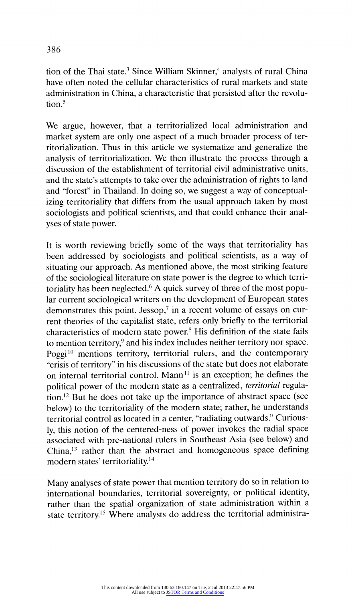**tion of the Thai state.3 Since William Skinner,4 analysts of rural China have often noted the cellular characteristics of rural markets and state administration in China, a characteristic that persisted after the revolution.5** 

**We argue, however, that a territorialized local administration and market system are only one aspect of a much broader process of territorialization. Thus in this article we systematize and generalize the analysis of territorialization. We then illustrate the process through a discussion of the establishment of territorial civil administrative units, and the state's attempts to take over the administration of rights to land and "forest" in Thailand. In doing so, we suggest a way of conceptualizing territoriality that differs from the usual approach taken by most sociologists and political scientists, and that could enhance their analyses of state power.** 

**It is worth reviewing briefly some of the ways that territoriality has been addressed by sociologists and political scientists, as a way of situating our approach. As mentioned above, the most striking feature of the sociological literature on state power is the degree to which territoriality has been neglected.6 A quick survey of three of the most popular current sociological writers on the development of European states**  demonstrates this point. Jessop,<sup>7</sup> in a recent volume of essays on cur**rent theories of the capitalist state, refers only briefly to the territorial characteristics of modern state power.8 His definition of the state fails**  to mention territory,<sup>9</sup> and his index includes neither territory nor space. Poggi<sup>10</sup> mentions territory, territorial rulers, and the contemporary **"crisis of territory" in his discussions of the state but does not elaborate**  on internal territorial control. Mann<sup>11</sup> is an exception; he defines the **political power of the modern state as a centralized, territorial regulation.12 But he does not take up the importance of abstract space (see below) to the territoriality of the modern state; rather, he understands territorial control as located in a center, "radiating outwards." Curiously, this notion of the centered-ness of power invokes the radial space associated with pre-national rulers in Southeast Asia (see below) and China,'3 rather than the abstract and homogeneous space defining modern states' territoriality.'4** 

**Many analyses of state power that mention territory do so in relation to international boundaries, territorial sovereignty, or political identity, rather than the spatial organization of state administration within a state territory.15 Where analysts do address the territorial administra-**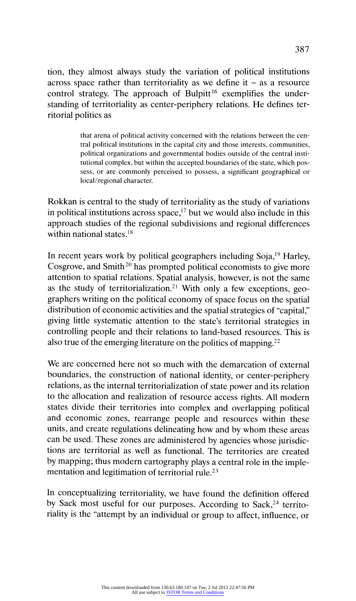**tion, they almost always study the variation of political institutions**  across space rather than territoriality as we define it  $-$  as a resource control strategy. The approach of Bulpitt<sup>16</sup> exemplifies the under**standing of territoriality as center-periphery relations. He defines territorial politics as** 

> **that arena of political activity concerned with the relations between the central political institutions in the capital city and those interests, communities, political organizations and governmental bodies outside of the central institutional complex, but within the accepted boundaries of the state, which possess, or are commonly perceived to possess, a significant geographical or local/regional character.**

**Rokkan is central to the study of territoriality as the study of variations**  in political institutions across space,<sup>17</sup> but we would also include in this **approach studies of the regional subdivisions and regional differences within national states.18** 

**In recent years work by political geographers including Soja,19 Harley,**  Cosgrove, and Smith<sup>20</sup> has prompted political economists to give more **attention to spatial relations. Spatial analysis, however, is not the same as the study of territorialization.21 With only a few exceptions, geographers writing on the political economy of space focus on the spatial distribution of economic activities and the spatial strategies of "capital," giving little systematic attention to the state's territorial strategies in controlling people and their relations to land-based resources. This is also true of the emerging literature on the politics of mapping.22** 

**We are concerned here not so much with the demarcation of external boundaries, the construction of national identity, or center-periphery relations, as the internal territorialization of state power and its relation to the allocation and realization of resource access rights. All modern states divide their territories into complex and overlapping political and economic zones, rearrange people and resources within these units, and create regulations delineating how and by whom these areas can be used. These zones are administered by agencies whose jurisdictions are territorial as well as functional. The territories are created by mapping; thus modern cartography plays a central role in the implementation and legitimation of territorial rule.23** 

**In conceptualizing territoriality, we have found the definition offered**  by Sack most useful for our purposes. According to Sack,<sup>24</sup> territo**riality is the "attempt by an individual or group to affect, influence, or**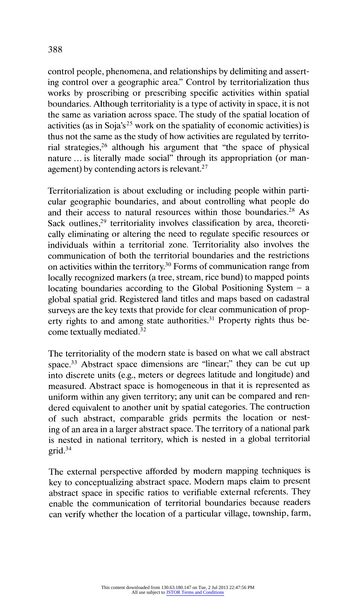**control people, phenomena, and relationships by delimiting and asserting control over a geographic area." Control by territorialization thus works by proscribing or prescribing specific activities within spatial boundaries. Although territoriality is a type of activity in space, it is not the same as variation across space. The study of the spatial location of**  activities (as in Soja's<sup>25</sup> work on the spatiality of economic activities) is **thus not the same as the study of how activities are regulated by territorial strategies,26 although his argument that "the space of physical nature ... is literally made social" through its appropriation (or management) by contending actors is relevant.27** 

**Territorialization is about excluding or including people within particular geographic boundaries, and about controlling what people do and their access to natural resources within those boundaries.28 As**  Sack outlines,<sup>29</sup> territoriality involves classification by area, theoreti**cally eliminating or altering the need to regulate specific resources or individuals within a territorial zone. Territoriality also involves the communication of both the territorial boundaries and the restrictions on activities within the territory.30 Forms of communication range from locally recognized markers (a tree, stream, rice bund) to mapped points locating boundaries according to the Global Positioning System - a global spatial grid. Registered land titles and maps based on cadastral surveys are the key texts that provide for clear communication of prop**erty rights to and among state authorities.<sup>31</sup> Property rights thus be**come textually mediated.32** 

**The territoriality of the modern state is based on what we call abstract space.33 Abstract space dimensions are "linear;" they can be cut up into discrete units (e.g., meters or degrees latitude and longitude) and measured. Abstract space is homogeneous in that it is represented as uniform within any given territory; any unit can be compared and rendered equivalent to another unit by spatial categories. The contruction of such abstract, comparable grids permits the location or nesting of an area in a larger abstract space. The territory of a national park is nested in national territory, which is nested in a global territorial grid.34** 

**The external perspective afforded by modern mapping techniques is key to conceptualizing abstract space. Modern maps claim to present abstract space in specific ratios to verifiable external referents. They enable the communication of territorial boundaries because readers can verify whether the location of a particular village, township, farm,**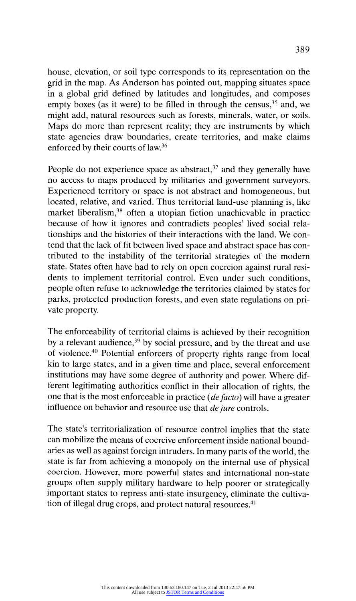**house, elevation, or soil type corresponds to its representation on the grid in the map. As Anderson has pointed out, mapping situates space in a global grid defined by latitudes and longitudes, and composes**  empty boxes (as it were) to be filled in through the census,<sup>35</sup> and, we **might add, natural resources such as forests, minerals, water, or soils. Maps do more than represent reality; they are instruments by which state agencies draw boundaries, create territories, and make claims enforced by their courts of law.36** 

People do not experience space as abstract,<sup>37</sup> and they generally have **no access to maps produced by militaries and government surveyors. Experienced territory or space is not abstract and homogeneous, but located, relative, and varied. Thus territorial land-use planning is, like market liberalism,38 often a utopian fiction unachievable in practice because of how it ignores and contradicts peoples' lived social relationships and the histories of their interactions with the land. We contend that the lack of fit between lived space and abstract space has contributed to the instability of the territorial strategies of the modern state. States often have had to rely on open coercion against rural residents to implement territorial control. Even under such conditions, people often refuse to acknowledge the territories claimed by states for parks, protected production forests, and even state regulations on private property.** 

**The enforceability of territorial claims is achieved by their recognition**  by a relevant audience,<sup>39</sup> by social pressure, and by the threat and use **of violence.40 Potential enforcers of property rights range from local kin to large states, and in a given time and place, several enforcement institutions may have some degree of authority and power. Where different legitimating authorities conflict in their allocation of rights, the one that is the most enforceable in practice (de facto) will have a greater influence on behavior and resource use that de jure controls.** 

**The state's territorialization of resource control implies that the state can mobilize the means of coercive enforcement inside national boundaries as well as against foreign intruders. In many parts of the world, the state is far from achieving a monopoly on the internal use of physical coercion. However, more powerful states and international non-state groups often supply military hardware to help poorer or strategically important states to repress anti-state insurgency, eliminate the cultivation of illegal drug crops, and protect natural resources.41**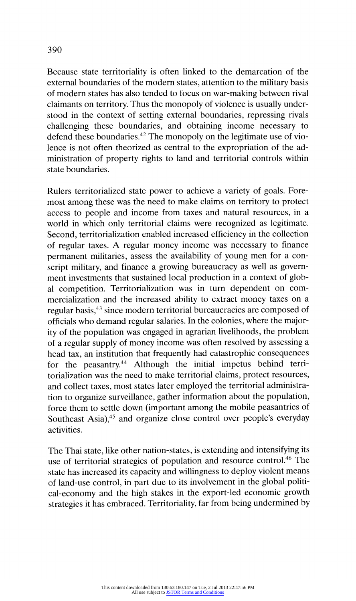**Because state territoriality is often linked to the demarcation of the external boundaries of the modern states, attention to the military basis of modern states has also tended to focus on war-making between rival claimants on territory. Thus the monopoly of violence is usually understood in the context of setting external boundaries, repressing rivals challenging these boundaries, and obtaining income necessary to defend these boundaries.42 The monopoly on the legitimate use of violence is not often theorized as central to the expropriation of the administration of property rights to land and territorial controls within state boundaries.** 

**Rulers territorialized state power to achieve a variety of goals. Foremost among these was the need to make claims on territory to protect access to people and income from taxes and natural resources, in a world in which only territorial claims were recognized as legitimate. Second, territorialization enabled increased efficiency in the collection of regular taxes. A regular money income was necessary to finance permanent militaries, assess the availability of young men for a conscript military, and finance a growing bureaucracy as well as government investments that sustained local production in a context of global competition. Territorialization was in turn dependent on commercialization and the increased ability to extract money taxes on a regular basis,43 since modern territorial bureaucracies are composed of officials who demand regular salaries. In the colonies, where the majority of the population was engaged in agrarian livelihoods, the problem of a regular supply of money income was often resolved by assessing a head tax, an institution that frequently had catastrophic consequences for the peasantry.44 Although the initial impetus behind territorialization was the need to make territorial claims, protect resources, and collect taxes, most states later employed the territorial administration to organize surveillance, gather information about the population, force them to settle down (important among the mobile peasantries of Southeast Asia),45 and organize close control over people's everyday activities.** 

**The Thai state, like other nation-states, is extending and intensifying its use of territorial strategies of population and resource control.46 The state has increased its capacity and willingness to deploy violent means of land-use control, in part due to its involvement in the global political-economy and the high stakes in the export-led economic growth strategies it has embraced. Territoriality, far from being undermined by**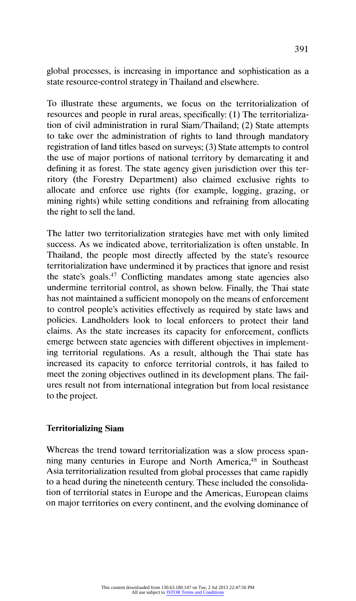**global processes, is increasing in importance and sophistication as a state resource-control strategy in Thailand and elsewhere.** 

**To illustrate these arguments, we focus on the territorialization of resources and people in rural areas, specifically: (1) The territorialization of civil administration in rural Siam/Thailand; (2) State attempts to take over the administration of rights to land through mandatory registration of land titles based on surveys; (3) State attempts to control the use of major portions of national territory by demarcating it and defining it as forest. The state agency given jurisdiction over this territory (the Forestry Department) also claimed exclusive rights to allocate and enforce use rights (for example, logging, grazing, or mining rights) while setting conditions and refraining from allocating the right to sell the land.** 

**The latter two territorialization strategies have met with only limited success. As we indicated above, territorialization is often unstable. In Thailand, the people most directly affected by the state's resource territorialization have undermined it by practices that ignore and resist the state's goals.47 Conflicting mandates among state agencies also undermine territorial control, as shown below. Finally, the Thai state has not maintained a sufficient monopoly on the means of enforcement to control people's activities effectively as required by state laws and policies. Landholders look to local enforcers to protect their land claims. As the state increases its capacity for enforcement, conflicts emerge between state agencies with different objectives in implementing territorial regulations. As a result, although the Thai state has increased its capacity to enforce territorial controls, it has failed to meet the zoning objectives outlined in its development plans. The failures result not from international integration but from local resistance to the project.** 

### **Territorializing Siam**

**Whereas the trend toward territorialization was a slow process spanning many centuries in Europe and North America,48 in Southeast Asia territorialization resulted from global processes that came rapidly to a head during the nineteenth century. These included the consolidation of territorial states in Europe and the Americas, European claims on major territories on every continent, and the evolving dominance of**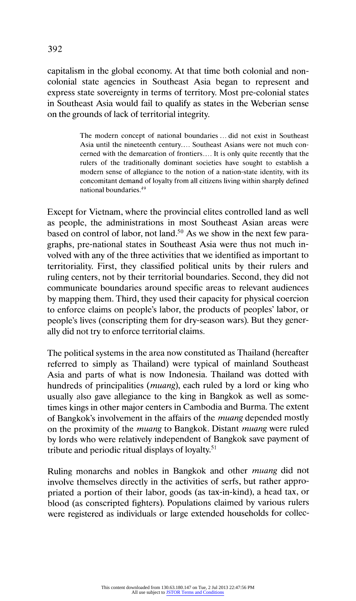**capitalism in the global economy. At that time both colonial and noncolonial state agencies in Southeast Asia began to represent and express state sovereignty in terms of territory. Most pre-colonial states in Southeast Asia would fail to qualify as states in the Weberian sense on the grounds of lack of territorial integrity.** 

> **The modern concept of national boundaries ... did not exist in Southeast Asia until the nineteenth century.... Southeast Asians were not much concerned with the demarcation of frontiers.... It is only quite recently that the rulers of the traditionally dominant societies have sought to establish a modern sense of allegiance to the notion of a nation-state identity, with its concomitant demand of loyalty from all citizens living within sharply defined national boundaries.49**

**Except for Vietnam, where the provincial elites controlled land as well as people, the administrations in most Southeast Asian areas were based on control of labor, not land.50 As we show in the next few paragraphs, pre-national states in Southeast Asia were thus not much involved with any of the three activities that we identified as important to territoriality. First, they classified political units by their rulers and ruling centers, not by their territorial boundaries. Second, they did not communicate boundaries around specific areas to relevant audiences by mapping them. Third, they used their capacity for physical coercion to enforce claims on people's labor, the products of peoples' labor, or people's lives (conscripting them for dry-season wars). But they generally did not try to enforce territorial claims.** 

**The political systems in the area now constituted as Thailand (hereafter referred to simply as Thailand) were typical of mainland Southeast Asia and parts of what is now Indonesia. Thailand was dotted with hundreds of principalities (muang), each ruled by a lord or king who usually also gave allegiance to the king in Bangkok as well as sometimes kings in other major centers in Cambodia and Burma. The extent of Bangkok's involvement in the affairs of the muang depended mostly on the proximity of the muang to Bangkok. Distant muang were ruled by lords who were relatively independent of Bangkok save payment of tribute and periodic ritual displays of loyalty.51** 

**Ruling monarchs and nobles in Bangkok and other muang did not involve themselves directly in the activities of serfs, but rather appropriated a portion of their labor, goods (as tax-in-kind), a head tax, or blood (as conscripted fighters). Populations claimed by various rulers were registered as individuals or large extended households for collec-**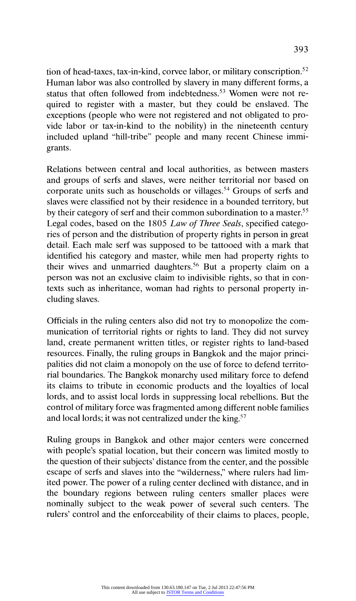**tion of head-taxes, tax-in-kind, corvee labor, or military conscription.52 Human labor was also controlled by slavery in many different forms, a status that often followed from indebtedness.53 Women were not required to register with a master, but they could be enslaved. The exceptions (people who were not registered and not obligated to provide labor or tax-in-kind to the nobility) in the nineteenth century included upland "hill-tribe" people and many recent Chinese immigrants.** 

**Relations between central and local authorities, as between masters and groups of serfs and slaves, were neither territorial nor based on corporate units such as households or villages.54 Groups of serfs and slaves were classified not by their residence in a bounded territory, but by their category of serf and their common subordination to a master.55 Legal codes, based on the 1805 Law of Three Seals, specified categories of person and the distribution of property rights in person in great detail. Each male serf was supposed to be tattooed with a mark that identified his category and master, while men had property rights to their wives and unmarried daughters.56 But a property claim on a person was not an exclusive claim to indivisible rights, so that in contexts such as inheritance, woman had rights to personal property including slaves.** 

**Officials in the ruling centers also did not try to monopolize the communication of territorial rights or rights to land. They did not survey land, create permanent written titles, or register rights to land-based resources. Finally, the ruling groups in Bangkok and the major principalities did not claim a monopoly on the use of force to defend territorial boundaries. The Bangkok monarchy used military force to defend its claims to tribute in economic products and the loyalties of local lords, and to assist local lords in suppressing local rebellions. But the control of military force was fragmented among different noble families and local lords; it was not centralized under the king.57** 

**Ruling groups in Bangkok and other major centers were concerned with people's spatial location, but their concern was limited mostly to the question of their subjects' distance from the center, and the possible escape of serfs and slaves into the "wilderness," where rulers had limited power. The power of a ruling center declined with distance, and in the boundary regions between ruling centers smaller places were nominally subject to the weak power of several such centers. The rulers' control and the enforceability of their claims to places, people,**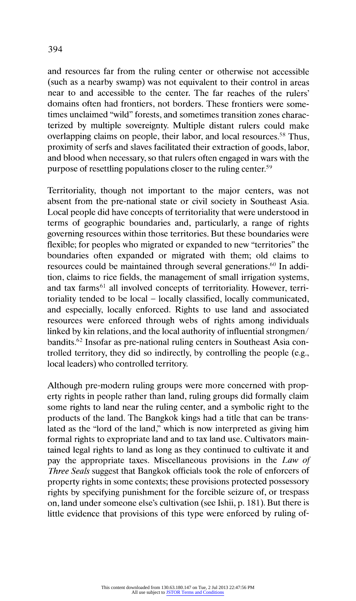**and resources far from the ruling center or otherwise not accessible (such as a nearby swamp) was not equivalent to their control in areas near to and accessible to the center. The far reaches of the rulers' domains often had frontiers, not borders. These frontiers were sometimes unclaimed "wild" forests, and sometimes transition zones characterized by multiple sovereignty. Multiple distant rulers could make**  overlapping claims on people, their labor, and local resources.<sup>58</sup> Thus, **proximity of serfs and slaves facilitated their extraction of goods, labor, and blood when necessary, so that rulers often engaged in wars with the purpose of resettling populations closer to the ruling center.59** 

**Territoriality, though not important to the major centers, was not absent from the pre-national state or civil society in Southeast Asia. Local people did have concepts of territoriality that were understood in terms of geographic boundaries and, particularly, a range of rights governing resources within those territories. But these boundaries were flexible; for peoples who migrated or expanded to new "territories" the boundaries often expanded or migrated with them; old claims to**  resources could be maintained through several generations.<sup>60</sup> In addi**tion, claims to rice fields, the management of small irrigation systems,**  and tax farms<sup>61</sup> all involved concepts of territoriality. However, terri**toriality tended to be local - locally classified, locally communicated, and especially, locally enforced. Rights to use land and associated resources were enforced through webs of rights among individuals linked by kin relations, and the local authority of influential strongmen/ bandits.62 Insofar as pre-national ruling centers in Southeast Asia controlled territory, they did so indirectly, by controlling the people (e.g., local leaders) who controlled territory.** 

**Although pre-modern ruling groups were more concerned with property rights in people rather than land, ruling groups did formally claim some rights to land near the ruling center, and a symbolic right to the products of the land. The Bangkok kings had a title that can be translated as the "lord of the land," which is now interpreted as giving him formal rights to expropriate land and to tax land use. Cultivators maintained legal rights to land as long as they continued to cultivate it and pay the appropriate taxes. Miscellaneous provisions in the Law of Three Seals suggest that Bangkok officials took the role of enforcers of property rights in some contexts; these provisions protected possessory rights by specifying punishment for the forcible seizure of, or trespass on, land under someone else's cultivation (see Ishii, p. 181). But there is little evidence that provisions of this type were enforced by ruling of-**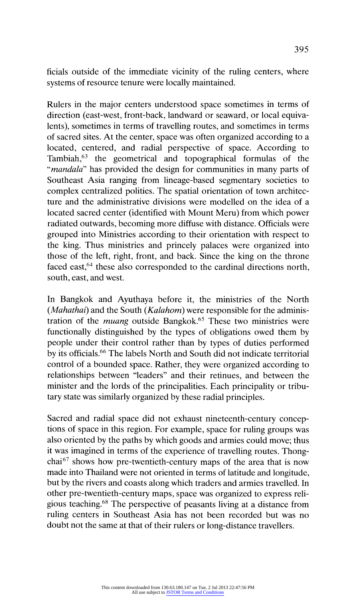**ficials outside of the immediate vicinity of the ruling centers, where systems of resource tenure were locally maintained.** 

**Rulers in the major centers understood space sometimes in terms of direction (east-west, front-back, landward or seaward, or local equivalents), sometimes in terms of travelling routes, and sometimes in terms of sacred sites. At the center, space was often organized according to a located, centered, and radial perspective of space. According to Tambiah,63 the geometrical and topographical formulas of the "mandala" has provided the design for communities in many parts of Southeast Asia ranging from lineage-based segmentary societies to complex centralized polities. The spatial orientation of town architecture and the administrative divisions were modelled on the idea of a located sacred center (identified with Mount Meru) from which power radiated outwards, becoming more diffuse with distance. Officials were grouped into Ministries according to their orientation with respect to the king. Thus ministries and princely palaces were organized into those of the left, right, front, and back. Since the king on the throne**  faced east,<sup>64</sup> these also corresponded to the cardinal directions north, **south, east, and west.** 

**In Bangkok and Ayuthaya before it, the ministries of the North (Mahathai) and the South (Kalahom) were responsible for the administration of the muang outside Bangkok.65 These two ministries were functionally distinguished by the types of obligations owed them by people under their control rather than by types of duties performed by its officials.66 The labels North and South did not indicate territorial control of a bounded space. Rather, they were organized according to relationships between "leaders" and their retinues, and between the minister and the lords of the principalities. Each principality or tributary state was similarly organized by these radial principles.** 

**Sacred and radial space did not exhaust nineteenth-century conceptions of space in this region. For example, space for ruling groups was also oriented by the paths by which goods and armies could move; thus it was imagined in terms of the experience of travelling routes. Thongchai67 shows how pre-twentieth-century maps of the area that is now made into Thailand were not oriented in terms of latitude and longitude, but by the rivers and coasts along which traders and armies travelled. In other pre-twentieth-century maps, space was organized to express religious teaching.68 The perspective of peasants living at a distance from ruling centers in Southeast Asia has not been recorded but was no doubt not the same at that of their rulers or long-distance travellers.**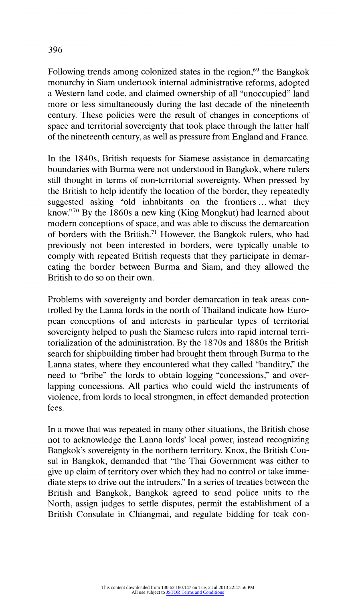**Following trends among colonized states in the region,69 the Bangkok monarchy in Siam undertook internal administrative reforms, adopted a Western land code, and claimed ownership of all "unoccupied" land more or less simultaneously during the last decade of the nineteenth century. These policies were the result of changes in conceptions of space and territorial sovereignty that took place through the latter half of the nineteenth century, as well as pressure from England and France.** 

**In the 1840s, British requests for Siamese assistance in demarcating boundaries with Burma were not understood in Bangkok, where rulers still thought in terms of non-territorial sovereignty. When pressed by the British to help identify the location of the border, they repeatedly suggested asking "old inhabitants on the frontiers ... what they know."7" By the 1860s a new king (King Mongkut) had learned about modern conceptions of space, and was able to discuss the demarcation of borders with the British.71 However, the Bangkok rulers, who had previously not been interested in borders, were typically unable to comply with repeated British requests that they participate in demarcating the border between Burma and Siam, and they allowed the British to do so on their own.** 

**Problems with sovereignty and border demarcation in teak areas controlled by the Lanna lords in the north of Thailand indicate how European conceptions of and interests in particular types of territorial sovereignty helped to push the Siamese rulers into rapid internal territorialization of the administration. By the 1870s and 1880s the British search for shipbuilding timber had brought them through Burma to the Lanna states, where they encountered what they called "banditry," the need to "bribe" the lords to obtain logging "concessions," and overlapping concessions. All parties who could wield the instruments of violence, from lords to local strongmen, in effect demanded protection fees.** 

**In a move that was repeated in many other situations, the British chose not to acknowledge the Lanna lords' local power, instead recognizing Bangkok's sovereignty in the northern territory. Knox, the British Consul in Bangkok, demanded that "the Thai Government was either to give up claim of territory over which they had no control or take immediate steps to drive out the intruders." In a series of treaties between the British and Bangkok, Bangkok agreed to send police units to the North, assign judges to settle disputes, permit the establishment of a British Consulate in Chiangmai, and regulate bidding for teak con-**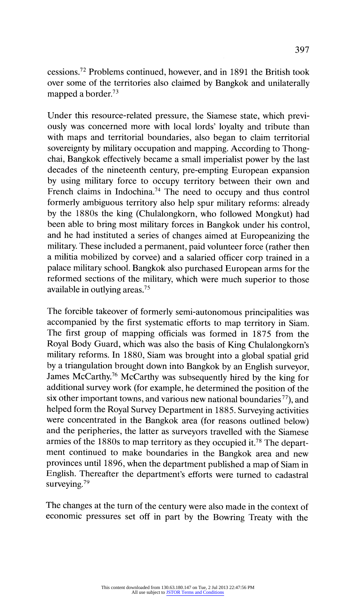**cessions.72 Problems continued, however, and in 1891 the British took over some of the territories also claimed by Bangkok and unilaterally mapped a border.73** 

**Under this resource-related pressure, the Siamese state, which previously was concerned more with local lords' loyalty and tribute than with maps and territorial boundaries, also began to claim territorial sovereignty by military occupation and mapping. According to Thongchai, Bangkok effectively became a small imperialist power by the last decades of the nineteenth century, pre-empting European expansion by using military force to occupy territory between their own and**  French claims in Indochina.<sup>74</sup> The need to occupy and thus control **formerly ambiguous territory also help spur military reforms: already by the 1880s the king (Chulalongkorn, who followed Mongkut) had been able to bring most military forces in Bangkok under his control, and he had instituted a series of changes aimed at Europeanizing the military. These included a permanent, paid volunteer force (rather then a militia mobilized by corvee) and a salaried officer corp trained in a palace military school. Bangkok also purchased European arms for the reformed sections of the military, which were much superior to those available in outlying areas.75** 

**The forcible takeover of formerly semi-autonomous principalities was accompanied by the first systematic efforts to map territory in Siam. The first group of mapping officials was formed in 1875 from the Royal Body Guard, which was also the basis of King Chulalongkorn's military reforms. In 1880, Siam was brought into a global spatial grid by a triangulation brought down into Bangkok by an English surveyor, James McCarthy.76 McCarthy was subsequently hired by the king for additional survey work (for example, he determined the position of the six other important towns, and various new national boundaries77), and helped form the Royal Survey Department in 1885. Surveying activities were concentrated in the Bangkok area (for reasons outlined below) and the peripheries, the latter as surveyors travelled with the Siamese armies of the 1880s to map territory as they occupied it.78 The department continued to make boundaries in the Bangkok area and new provinces until 1896, when the department published a map of Siam in English. Thereafter the department's efforts were turned to cadastral surveying.79** 

**The changes at the turn of the century were also made in the context of economic pressures set off in part by the Bowring Treaty with the**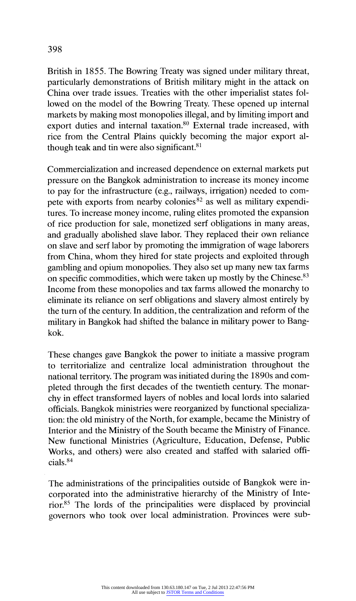**British in 1855. The Bowring Treaty was signed under military threat, particularly demonstrations of British military might in the attack on China over trade issues. Treaties with the other imperialist states followed on the model of the Bowring Treaty. These opened up internal markets by making most monopolies illegal, and by limiting import and**  export duties and internal taxation.<sup>80</sup> External trade increased, with **rice from the Central Plains quickly becoming the major export although teak and tin were also significant.81** 

**Commercialization and increased dependence on external markets put pressure on the Bangkok administration to increase its money income to pay for the infrastructure (e.g., railways, irrigation) needed to com**pete with exports from nearby colonies<sup>82</sup> as well as military expendi**tures. To increase money income, ruling elites promoted the expansion of rice production for sale, monetized serf obligations in many areas, and gradually abolished slave labor. They replaced their own reliance on slave and serf labor by promoting the immigration of wage laborers from China, whom they hired for state projects and exploited through gambling and opium monopolies. They also set up many new tax farms on specific commodities, which were taken up mostly by the Chinese.83 Income from these monopolies and tax farms allowed the monarchy to eliminate its reliance on serf obligations and slavery almost entirely by the turn of the century. In addition, the centralization and reform of the military in Bangkok had shifted the balance in military power to Bangkok.** 

**These changes gave Bangkok the power to initiate a massive program to territorialize and centralize local administration throughout the national territory. The program was initiated during the 1890s and completed through the first decades of the twentieth century. The monarchy in effect transformed layers of nobles and local lords into salaried officials. Bangkok ministries were reorganized by functional specialization: the old ministry of the North, for example, became the Ministry of Interior and the Ministry of the South became the Ministry of Finance. New functional Ministries (Agriculture, Education, Defense, Public Works, and others) were also created and staffed with salaried officials.84** 

**The administrations of the principalities outside of Bangkok were incorporated into the administrative hierarchy of the Ministry of Interior.85 The lords of the principalities were displaced by provincial governors who took over local administration. Provinces were sub-**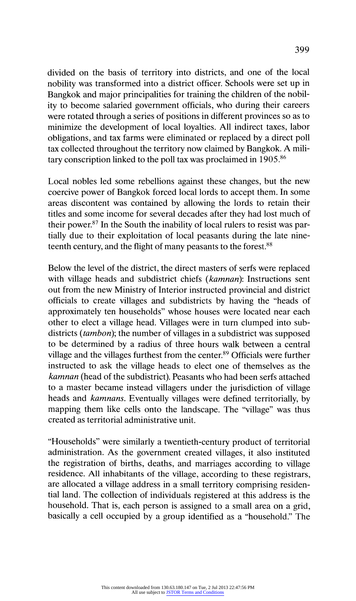**divided on the basis of territory into districts, and one of the local nobility was transformed into a district officer. Schools were set up in Bangkok and major principalities for training the children of the nobility to become salaried government officials, who during their careers were rotated through a series of positions in different provinces so as to minimize the development of local loyalties. All indirect taxes, labor obligations, and tax farms were eliminated or replaced by a direct poll tax collected throughout the territory now claimed by Bangkok. A military conscription linked to the poll tax was proclaimed in 1905.86** 

**Local nobles led some rebellions against these changes, but the new coercive power of Bangkok forced local lords to accept them. In some areas discontent was contained by allowing the lords to retain their titles and some income for several decades after they had lost much of their power.87 In the South the inability of local rulers to resist was partially due to their exploitation of local peasants during the late nineteenth century, and the flight of many peasants to the forest.88** 

**Below the level of the district, the direct masters of serfs were replaced with village heads and subdistrict chiefs (kamnan): Instructions sent out from the new Ministry of Interior instructed provincial and district officials to create villages and subdistricts by having the "heads of approximately ten households" whose houses were located near each other to elect a village head. Villages were in turn clumped into subdistricts (tambon); the number of villages in a subdistrict was supposed to be determined by a radius of three hours walk between a central village and the villages furthest from the center.89 Officials were further instructed to ask the village heads to elect one of themselves as the kamnan (head of the subdistrict). Peasants who had been serfs attached to a master became instead villagers under the jurisdiction of village heads and kamnans. Eventually villages were defined territorially, by mapping them like cells onto the landscape. The "village" was thus created as territorial administrative unit.** 

**"Households" were similarly a twentieth-century product of territorial administration. As the government created villages, it also instituted the registration of births, deaths, and marriages according to village residence. All inhabitants of the village, according to these registrars, are allocated a village address in a small territory comprising residential land. The collection of individuals registered at this address is the household. That is, each person is assigned to a small area on a grid, basically a cell occupied by a group identified as a "household." The**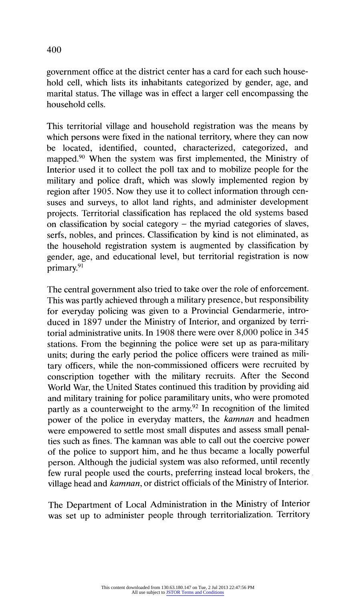# **400**

**government office at the district center has a card for each such household cell, which lists its inhabitants categorized by gender, age, and marital status. The village was in effect a larger cell encompassing the household cells.** 

**This territorial village and household registration was the means by which persons were fixed in the national territory, where they can now be located, identified, counted, characterized, categorized, and mapped.90 When the system was first implemented, the Ministry of Interior used it to collect the poll tax and to mobilize people for the military and police draft, which was slowly implemented region by region after 1905. Now they use it to collect information through censuses and surveys, to allot land rights, and administer development projects. Territorial classification has replaced the old systems based on classification by social category - the myriad categories of slaves, serfs, nobles, and princes. Classification by kind is not eliminated, as the household registration system is augmented by classification by gender, age, and educational level, but territorial registration is now primary.91** 

**The central government also tried to take over the role of enforcement. This was partly achieved through a military presence, but responsibility for everyday policing was given to a Provincial Gendarmerie, introduced in 1897 under the Ministry of Interior, and organized by territorial administrative units. In 1908 there were over 8,000 police in 345 stations. From the beginning the police were set up as para-military units; during the early period the police officers were trained as military officers, while the non-commissioned officers were recruited by conscription together with the military recruits. After the Second World War, the United States continued this tradition by providing aid and military training for police paramilitary units, who were promoted partly as a counterweight to the army.92 In recognition of the limited power of the police in everyday matters, the kamnan and headmen were empowered to settle most small disputes and assess small penalties such as fines. The kamnan was able to call out the coercive power of the police to support him, and he thus became a locally powerful person. Although the judicial system was also reformed, until recently few rural people used the courts, preferring instead local brokers, the village head and kamnan, or district officials of the Ministry of Interior.** 

**The Department of Local Administration in the Ministry of Interior was set up to administer people through territorialization. Territory**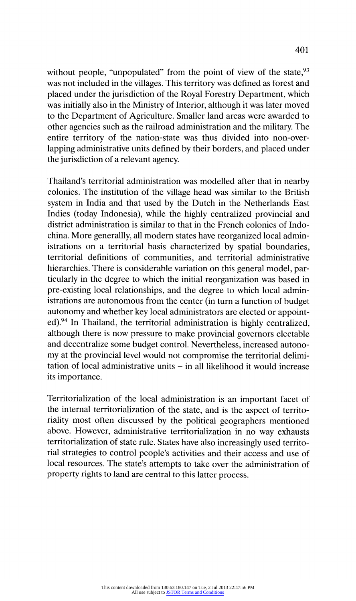without people, "unpopulated" from the point of view of the state.<sup>93</sup> **was not included in the villages. This territory was defined as forest and placed under the jurisdiction of the Royal Forestry Department, which was initially also in the Ministry of Interior, although it was later moved to the Department of Agriculture. Smaller land areas were awarded to other agencies such as the railroad administration and the military. The entire territory of the nation-state was thus divided into non-overlapping administrative units defined by their borders, and placed under the jurisdiction of a relevant agency.** 

**Thailand's territorial administration was modelled after that in nearby colonies. The institution of the village head was similar to the British system in India and that used by the Dutch in the Netherlands East Indies (today Indonesia), while the highly centralized provincial and district administration is similar to that in the French colonies of Indochina. More generallly, all modern states have reorganized local administrations on a territorial basis characterized by spatial boundaries, territorial definitions of communities, and territorial administrative hierarchies. There is considerable variation on this general model, particularly in the degree to which the initial reorganization was based in pre-existing local relationships, and the degree to which local administrations are autonomous from the center (in turn a function of budget autonomy and whether key local administrators are elected or appointed).94 In Thailand, the territorial administration is highly centralized, although there is now pressure to make provincial governors electable and decentralize some budget control. Nevertheless, increased autonomy at the provincial level would not compromise the territorial delimitation of local administrative units - in all likelihood it would increase its importance.** 

**Territorialization of the local administration is an important facet of the internal territorialization of the state, and is the aspect of territoriality most often discussed by the political geographers mentioned above. However, administrative territorialization in no way exhausts territorialization of state rule. States have also increasingly used territorial strategies to control people's activities and their access and use of local resources. The state's attempts to take over the administration of property rights to land are central to this latter process.**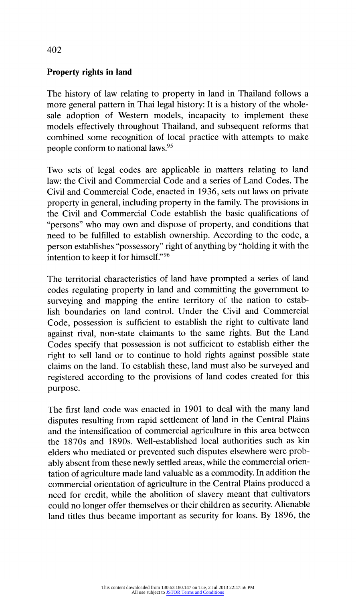# **Property rights in land**

**The history of law relating to property in land in Thailand follows a more general pattern in Thai legal history: It is a history of the wholesale adoption of Western models, incapacity to implement these models effectively throughout Thailand, and subsequent reforms that combined some recognition of local practice with attempts to make people conform to national laws.95** 

**Two sets of legal codes are applicable in matters relating to land law: the Civil and Commercial Code and a series of Land Codes. The Civil and Commercial Code, enacted in 1936, sets out laws on private property in general, including property in the family. The provisions in the Civil and Commercial Code establish the basic qualifications of "persons" who may own and dispose of property, and conditions that need to be fulfilled to establish ownership. According to the code, a person establishes "possessory" right of anything by "holding it with the intention to keep it for himself."96** 

**The territorial characteristics of land have prompted a series of land codes regulating property in land and committing the government to surveying and mapping the entire territory of the nation to establish boundaries on land control. Under the Civil and Commercial Code, possession is sufficient to establish the right to cultivate land against rival, non-state claimants to the same rights. But the Land Codes specify that possession is not sufficient to establish either the right to sell land or to continue to hold rights against possible state claims on the land. To establish these, land must also be surveyed and registered according to the provisions of land codes created for this purpose.** 

**The first land code was enacted in 1901 to deal with the many land disputes resulting from rapid settlement of land in the Central Plains and the intensification of commercial agriculture in this area between the 1870s and 1890s. Well-established local authorities such as kin elders who mediated or prevented such disputes elsewhere were probably absent from these newly settled areas, while the commercial orientation of agriculture made land valuable as a commodity. In addition the commercial orientation of agriculture in the Central Plains produced a need for credit, while the abolition of slavery meant that cultivators could no longer offer themselves or their children as security. Alienable land titles thus became important as security for loans. By 1896, the**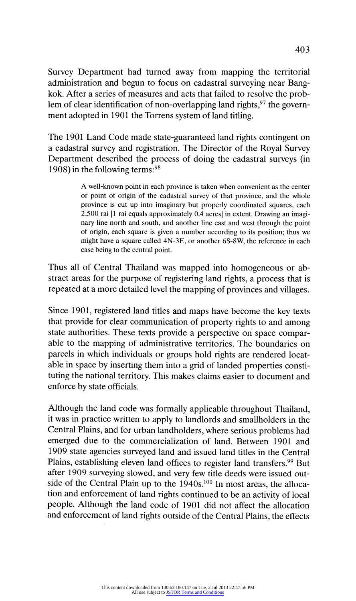**Survey Department had turned away from mapping the territorial administration and begun to focus on cadastral surveying near Bangkok. After a series of measures and acts that failed to resolve the prob**lem of clear identification of non-overlapping land rights,<sup>97</sup> the govern**ment adopted in 1901 the Torrens system of land titling.** 

**The 1901 Land Code made state-guaranteed land rights contingent on a cadastral survey and registration. The Director of the Royal Survey Department described the process of doing the cadastral surveys (in 1908) in the following terms:98** 

> **A well-known point in each province is taken when convenient as the center or point of origin of the cadastral survey of that province, and the whole province is cut up into imaginary but properly coordinated squares, each 2,500 rai [1 rai equals approximately 0.4 acres] in extent. Drawing an imaginary line north and south, and another line east and west through the point of origin, each square is given a number according to its position; thus we might have a square called 4N-3E, or another 6S-8W, the reference in each case being to the central point.**

**Thus all of Central Thailand was mapped into homogeneous or abstract areas for the purpose of registering land rights, a process that is repeated at a more detailed level the mapping of provinces and villages.** 

**Since 1901, registered land titles and maps have become the key texts that provide for clear communication of property rights to and among state authorities. These texts provide a perspective on space comparable to the mapping of administrative territories. The boundaries on parcels in which individuals or groups hold rights are rendered locatable in space by inserting them into a grid of landed properties constituting the national territory. This makes claims easier to document and enforce by state officials.** 

**Although the land code was formally applicable throughout Thailand, it was in practice written to apply to landlords and smallholders in the Central Plains, and for urban landholders, where serious problems had emerged due to the commercialization of land. Between 1901 and 1909 state agencies surveyed land and issued land titles in the Central Plains, establishing eleven land offices to register land transfers.99 But after 1909 surveying slowed, and very few title deeds were issued outside of the Central Plain up to the 1940s.100 In most areas, the allocation and enforcement of land rights continued to be an activity of local people. Although the land code of 1901 did not affect the allocation and enforcement of land rights outside of the Central Plains, the effects**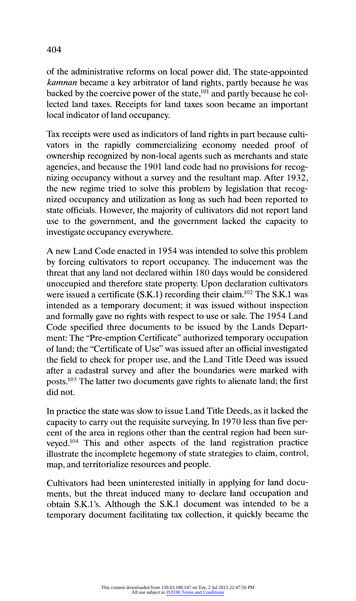**of the administrative reforms on local power did. The state-appointed kamnan became a key arbitrator of land rights, partly because he was backed by the coercive power of the state,101 and partly because he collected land taxes. Receipts for land taxes soon became an important local indicator of land occupancy.** 

**Tax receipts were used as indicators of land rights in part because cultivators in the rapidly commercializing economy needed proof of ownership recognized by non-local agents such as merchants and state agencies, and because the 1901 land code had no provisions for recognizing occupancy without a survey and the resultant map. After 1932, the new regime tried to solve this problem by legislation that recognized occupancy and utilization as long as such had been reported to state officials. However, the majority of cultivators did not report land use to the government, and the government lacked the capacity to investigate occupancy everywhere.** 

**A new Land Code enacted in 1954 was intended to solve this problem by forcing cultivators to report occupancy. The inducement was the threat that any land not declared within 180 days would be considered unoccupied and therefore state property. Upon declaration cultivators were issued a certificate (S.K.1) recording their claim.102 The S.K.1 was intended as a temporary document; it was issued without inspection and formally gave no rights with respect to use or sale. The 1954 Land Code specified three documents to be issued by the Lands Department: The "Pre-emption Certificate" authorized temporary occupation of land; the "Certificate of Use" was issued after an official investigated the field to check for proper use, and the Land Title Deed was issued after a cadastral survey and after the boundaries were marked with posts.103 The latter two documents gave rights to alienate land; the first did not.** 

**In practice the state was slow to issue Land Title Deeds, as it lacked the capacity to carry out the requisite surveying. In 1970 less than five percent of the area in regions other than the central region had been surveyed.104 This and other aspects of the land registration practice illustrate the incomplete hegemony of state strategies to claim, control, map, and territorialize resources and people.** 

**Cultivators had been uninterested initially in applying for land documents, but the threat induced many to declare land occupation and obtain S.K.1's. Although the S.K.1 document was intended to be a temporary document facilitating tax collection, it quickly became the**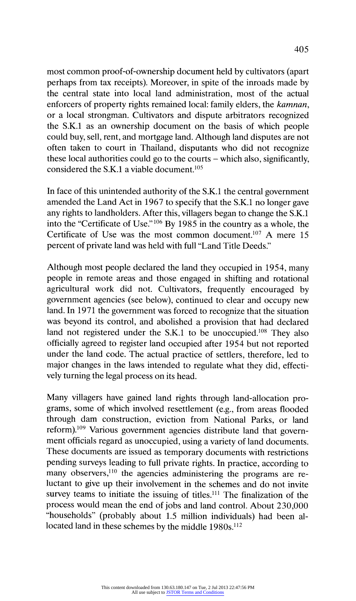**most common proof-of-ownership document held by cultivators (apart perhaps from tax receipts). Moreover, in spite of the inroads made by the central state into local land administration, most of the actual enforcers of property rights remained local: family elders, the kamnan, or a local strongman. Cultivators and dispute arbitrators recognized the S.K.1 as an ownership document on the basis of which people could buy, sell, rent, and mortgage land. Although land disputes are not often taken to court in Thailand, disputants who did not recognize these local authorities could go to the courts - which also, significantly,**  considered the S.K.1 a viable document.<sup>105</sup>

**In face of this unintended authority of the S.K.1 the central government amended the Land Act in 1967 to specify that the S.K.1 no longer gave any rights to landholders. After this, villagers began to change the S.K.1 into the "Certificate of Use."106 By 1985 in the country as a whole, the Certificate of Use was the most common document.107 A mere 15 percent of private land was held with full "Land Title Deeds."** 

**Although most people declared the land they occupied in 1954, many people in remote areas and those engaged in shifting and rotational agricultural work did not. Cultivators, frequently encouraged by government agencies (see below), continued to clear and occupy new land. In 1971 the government was forced to recognize that the situation was beyond its control, and abolished a provision that had declared land not registered under the S.K.1 to be unoccupied.108 They also officially agreed to register land occupied after 1954 but not reported under the land code. The actual practice of settlers, therefore, led to major changes in the laws intended to regulate what they did, effectively turning the legal process on its head.** 

**Many villagers have gained land rights through land-allocation programs, some of which involved resettlement (e.g., from areas flooded through dam construction, eviction from National Parks, or land reform).109 Various government agencies distribute land that government officials regard as unoccupied, using a variety of land documents. These documents are issued as temporary documents with restrictions pending surveys leading to full private rights. In practice, according to**  many observers,<sup>110</sup> the agencies administering the programs are re**luctant to give up their involvement in the schemes and do not invite**  survey teams to initiate the issuing of titles.<sup>111</sup> The finalization of the **process would mean the end of jobs and land control. About 230,000 "households" (probably about 1.5 million individuals) had been al**located land in these schemes by the middle 1980s.<sup>112</sup>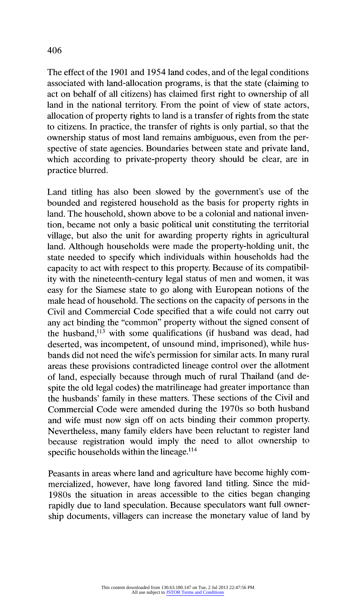## **406**

**The effect of the 1901 and 1954 land codes, and of the legal conditions associated with land-allocation programs, is that the state (claiming to act on behalf of all citizens) has claimed first right to ownership of all land in the national territory. From the point of view of state actors, allocation of property rights to land is a transfer of rights from the state to citizens. In practice, the transfer of rights is only partial, so that the ownership status of most land remains ambiguous, even from the perspective of state agencies. Boundaries between state and private land, which according to private-property theory should be clear, are in practice blurred.** 

**Land titling has also been slowed by the government's use of the bounded and registered household as the basis for property rights in land. The household, shown above to be a colonial and national invention, became not only a basic political unit constituting the territorial village, but also the unit for awarding property rights in agricultural land. Although households were made the property-holding unit, the state needed to specify which individuals within households had the capacity to act with respect to this property. Because of its compatibility with the nineteenth-century legal status of men and women, it was easy for the Siamese state to go along with European notions of the male head of household. The sections on the capacity of persons in the Civil and Commercial Code specified that a wife could not carry out any act binding the "common" property without the signed consent of the husband,113 with some qualifications (if husband was dead, had deserted, was incompetent, of unsound mind, imprisoned), while husbands did not need the wife's permission for similar acts. In many rural areas these provisions contradicted lineage control over the allotment of land, especially because through much of rural Thailand (and despite the old legal codes) the matrilineage had greater importance than the husbands' family in these matters. These sections of the Civil and Commercial Code were amended during the 1970s so both husband and wife must now sign off on acts binding their common property. Nevertheless, many family elders have been reluctant to register land because registration would imply the need to allot ownership to specific households within the lineage.14** 

**Peasants in areas where land and agriculture have become highly commercialized, however, have long favored land titling. Since the mid-1980s the situation in areas accessible to the cities began changing rapidly due to land speculation. Because speculators want full ownership documents, villagers can increase the monetary value of land by**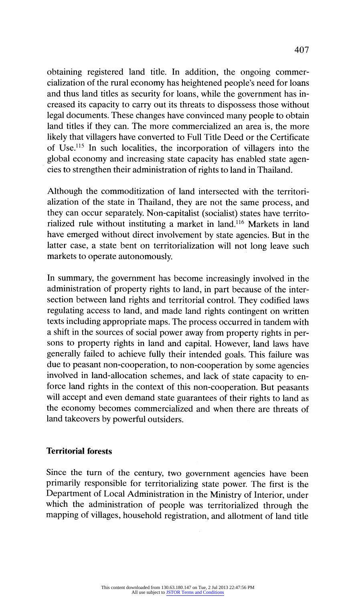**obtaining registered land title. In addition, the ongoing commercialization of the rural economy has heightened people's need for loans and thus land titles as security for loans, while the government has increased its capacity to carry out its threats to dispossess those without legal documents. These changes have convinced many people to obtain land titles if they can. The more commercialized an area is, the more likely that villagers have converted to Full Title Deed or the Certificate of Use.115 In such localities, the incorporation of villagers into the global economy and increasing state capacity has enabled state agencies to strengthen their administration of rights to land in Thailand.** 

**Although the commoditization of land intersected with the territorialization of the state in Thailand, they are not the same process, and they can occur separately. Non-capitalist (socialist) states have territorialized rule without instituting a market in land.116 Markets in land have emerged without direct involvement by state agencies. But in the latter case, a state bent on territorialization will not long leave such markets to operate autonomously.** 

**In summary, the government has become increasingly involved in the administration of property rights to land, in part because of the intersection between land rights and territorial control. They codified laws regulating access to land, and made land rights contingent on written texts including appropriate maps. The process occurred in tandem with a shift in the sources of social power away from property rights in persons to property rights in land and capital. However, land laws have generally failed to achieve fully their intended goals. This failure was due to peasant non-cooperation, to non-cooperation by some agencies involved in land-allocation schemes, and lack of state capacity to enforce land rights in the context of this non-cooperation. But peasants will accept and even demand state guarantees of their rights to land as the economy becomes commercialized and when there are threats of land takeovers by powerful outsiders.** 

#### **Territorial forests**

**Since the turn of the century, two government agencies have been primarily responsible for territorializing state power. The first is the Department of Local Administration in the Ministry of Interior, under which the administration of people was territorialized through the mapping of villages, household registration, and allotment of land title**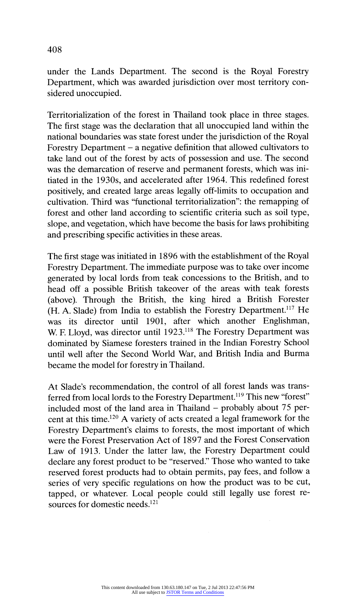**under the Lands Department. The second is the Royal Forestry Department, which was awarded jurisdiction over most territory considered unoccupied.** 

**Territorialization of the forest in Thailand took place in three stages. The first stage was the declaration that all unoccupied land within the national boundaries was state forest under the jurisdiction of the Royal Forestry Department - a negative definition that allowed cultivators to take land out of the forest by acts of possession and use. The second was the demarcation of reserve and permanent forests, which was initiated in the 1930s, and accelerated after 1964. This redefined forest positively, and created large areas legally off-limits to occupation and cultivation. Third was "functional territorialization": the remapping of forest and other land according to scientific criteria such as soil type, slope, and vegetation, which have become the basis for laws prohibiting and prescribing specific activities in these areas.** 

**The first stage was initiated in 1896 with the establishment of the Royal Forestry Department. The immediate purpose was to take over income generated by local lords from teak concessions to the British, and to head off a possible British takeover of the areas with teak forests (above). Through the British, the king hired a British Forester (H. A. Slade) from India to establish the Forestry Department.117 He was its director until 1901, after which another Englishman,**  W. F. Lloyd, was director until 1923.<sup>118</sup> The Forestry Department was **dominated by Siamese foresters trained in the Indian Forestry School until well after the Second World War, and British India and Burma became the model for forestry in Thailand.** 

**At Slade's recommendation, the control of all forest lands was transferred from local lords to the Forestry Department.119 This new "forest" included most of the land area in Thailand - probably about 75 percent at this time.120 A variety of acts created a legal framework for the Forestry Department's claims to forests, the most important of which were the Forest Preservation Act of 1897 and the Forest Conservation Law of 1913. Under the latter law, the Forestry Department could declare any forest product to be "reserved." Those who wanted to take reserved forest products had to obtain permits, pay fees, and follow a series of very specific regulations on how the product was to be cut, tapped, or whatever. Local people could still legally use forest resources for domestic needs.l21**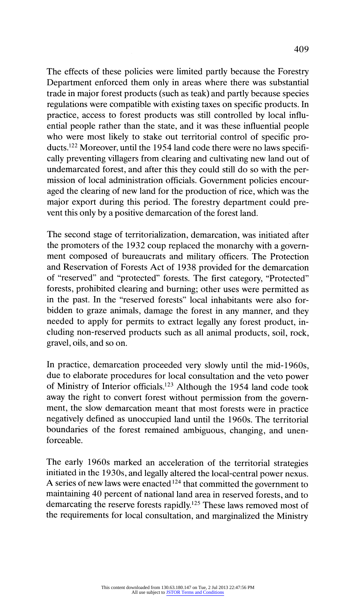**The effects of these policies were limited partly because the Forestry Department enforced them only in areas where there was substantial trade in major forest products (such as teak) and partly because species regulations were compatible with existing taxes on specific products. In practice, access to forest products was still controlled by local influential people rather than the state, and it was these influential people who were most likely to stake out territorial control of specific products.122 Moreover, until the 1954 land code there were no laws specifically preventing villagers from clearing and cultivating new land out of undemarcated forest, and after this they could still do so with the permission of local administration officials. Government policies encouraged the clearing of new land for the production of rice, which was the major export during this period. The forestry department could prevent this only by a positive demarcation of the forest land.** 

**The second stage of territorialization, demarcation, was initiated after the promoters of the 1932 coup replaced the monarchy with a government composed of bureaucrats and military officers. The Protection and Reservation of Forests Act of 1938 provided for the demarcation of "reserved" and "protected" forests. The first category, "Protected" forests, prohibited clearing and burning; other uses were permitted as in the past. In the "reserved forests" local inhabitants were also forbidden to graze animals, damage the forest in any manner, and they needed to apply for permits to extract legally any forest product, including non-reserved products such as all animal products, soil, rock, gravel, oils, and so on.** 

**In practice, demarcation proceeded very slowly until the mid-1960s, due to elaborate procedures for local consultation and the veto power of Ministry of Interior officials.123 Although the 1954 land code took away the right to convert forest without permission from the government, the slow demarcation meant that most forests were in practice negatively defined as unoccupied land until the 1960s. The territorial boundaries of the forest remained ambiguous, changing, and unenforceable.** 

**The early 1960s marked an acceleration of the territorial strategies initiated in the 1930s, and legally altered the local-central power nexus.**  A series of new laws were enacted<sup>124</sup> that committed the government to **maintaining 40 percent of national land area in reserved forests, and to demarcating the reserve forests rapidly.125 These laws removed most of the requirements for local consultation, and marginalized the Ministry**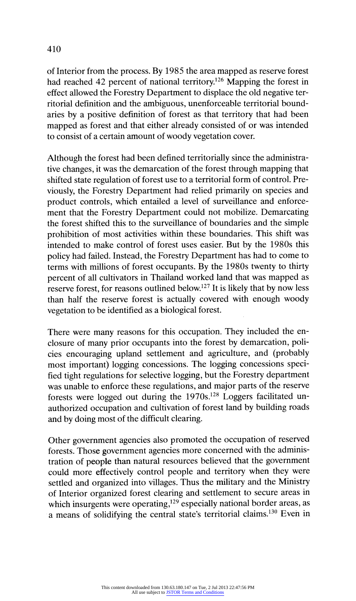**of Interior from the process. By 1985 the area mapped as reserve forest had reached 42 percent of national territory.126 Mapping the forest in effect allowed the Forestry Department to displace the old negative territorial definition and the ambiguous, unenforceable territorial boundaries by a positive definition of forest as that territory that had been mapped as forest and that either already consisted of or was intended to consist of a certain amount of woody vegetation cover.** 

**Although the forest had been defined territorially since the administrative changes, it was the demarcation of the forest through mapping that shifted state regulation of forest use to a territorial form of control. Previously, the Forestry Department had relied primarily on species and product controls, which entailed a level of surveillance and enforcement that the Forestry Department could not mobilize. Demarcating the forest shifted this to the surveillance of boundaries and the simple prohibition of most activities within these boundaries. This shift was intended to make control of forest uses easier. But by the 1980s this policy had failed. Instead, the Forestry Department has had to come to terms with millions of forest occupants. By the 1980s twenty to thirty percent of all cultivators in Thailand worked land that was mapped as reserve forest, for reasons outlined below.127 It is likely that by now less than half the reserve forest is actually covered with enough woody vegetation to be identified as a biological forest.** 

**There were many reasons for this occupation. They included the enclosure of many prior occupants into the forest by demarcation, policies encouraging upland settlement and agriculture, and (probably most important) logging concessions. The logging concessions specified tight regulations for selective logging, but the Forestry department was unable to enforce these regulations, and major parts of the reserve forests were logged out during the 1970s.128 Loggers facilitated unauthorized occupation and cultivation of forest land by building roads and by doing most of the difficult clearing.** 

**Other government agencies also promoted the occupation of reserved forests. Those government agencies more concerned with the administration of people than natural resources believed that the government could more effectively control people and territory when they were settled and organized into villages. Thus the military and the Ministry of Interior organized forest clearing and settlement to secure areas in**  which insurgents were operating,<sup>129</sup> especially national border areas, as **a means of solidifying the central state's territorial claims.130 Even in**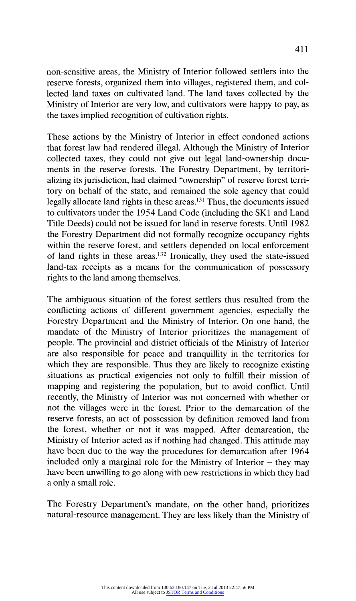**non-sensitive areas, the Ministry of Interior followed settlers into the reserve forests, organized them into villages, registered them, and collected land taxes on cultivated land. The land taxes collected by the Ministry of Interior are very low, and cultivators were happy to pay, as the taxes implied recognition of cultivation rights.** 

**These actions by the Ministry of Interior in effect condoned actions that forest law had rendered illegal. Although the Ministry of Interior collected taxes, they could not give out legal land-ownership documents in the reserve forests. The Forestry Department, by territorializing its jurisdiction, had claimed "ownership" of reserve forest territory on behalf of the state, and remained the sole agency that could**  legally allocate land rights in these areas.<sup>131</sup> Thus, the documents issued **to cultivators under the 1954 Land Code (including the SK1 and Land Title Deeds) could not be issued for land in reserve forests. Until 1982 the Forestry Department did not formally recognize occupancy rights within the reserve forest, and settlers depended on local enforcement of land rights in these areas.132 Ironically, they used the state-issued land-tax receipts as a means for the communication of possessory rights to the land among themselves.** 

**The ambiguous situation of the forest settlers thus resulted from the conflicting actions of different government agencies, especially the Forestry Department and the Ministry of Interior. On one hand, the mandate of the Ministry of Interior prioritizes the management of people. The provincial and district officials of the Ministry of Interior are also responsible for peace and tranquillity in the territories for which they are responsible. Thus they are likely to recognize existing situations as practical exigencies not only to fulfill their mission of mapping and registering the population, but to avoid conflict. Until recently, the Ministry of Interior was not concerned with whether or not the villages were in the forest. Prior to the demarcation of the reserve forests, an act of possession by definition removed land from the forest, whether or not it was mapped. After demarcation, the Ministry of Interior acted as if nothing had changed. This attitude may have been due to the way the procedures for demarcation after 1964 included only a marginal role for the Ministry of Interior - they may have been unwilling to go along with new restrictions in which they had a only a small role.** 

**The Forestry Department's mandate, on the other hand, prioritizes natural-resource management. They are less likely than the Ministry of**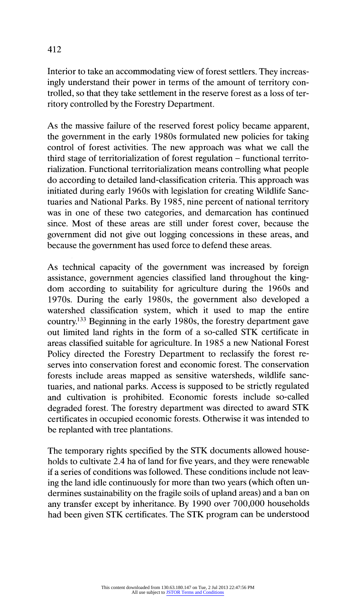## **Interior to take an accommodating view of forest settlers. They increasingly understand their power in terms of the amount of territory controlled, so that they take settlement in the reserve forest as a loss of territory controlled by the Forestry Department.**

**As the massive failure of the reserved forest policy became apparent, the government in the early 1980s formulated new policies for taking control of forest activities. The new approach was what we call the**  third stage of territorialization of forest regulation – functional territo**rialization. Functional territorialization means controlling what people do according to detailed land-classification criteria. This approach was initiated during early 1960s with legislation for creating Wildlife Sanctuaries and National Parks. By 1985, nine percent of national territory was in one of these two categories, and demarcation has continued since. Most of these areas are still under forest cover, because the government did not give out logging concessions in these areas, and because the government has used force to defend these areas.** 

**As technical capacity of the government was increased by foreign assistance, government agencies classified land throughout the kingdom according to suitability for agriculture during the 1960s and 1970s. During the early 1980s, the government also developed a watershed classification system, which it used to map the entire country.'33 Beginning in the early 1980s, the forestry department gave out limited land rights in the form of a so-called STK certificate in areas classified suitable for agriculture. In 1985 a new National Forest Policy directed the Forestry Department to reclassify the forest reserves into conservation forest and economic forest. The conservation forests include areas mapped as sensitive watersheds, wildlife sanctuaries, and national parks. Access is supposed to be strictly regulated and cultivation is prohibited. Economic forests include so-called degraded forest. The forestry department was directed to award STK certificates in occupied economic forests. Otherwise it was intended to be replanted with tree plantations.** 

**The temporary rights specified by the STK documents allowed households to cultivate 2.4 ha of land for five years, and they were renewable if a series of conditions was followed. These conditions include not leaving the land idle continuously for more than two years (which often undermines sustainability on the fragile soils of upland areas) and a ban on any transfer except by inheritance. By 1990 over 700,000 households had been given STK certificates. The STK program can be understood**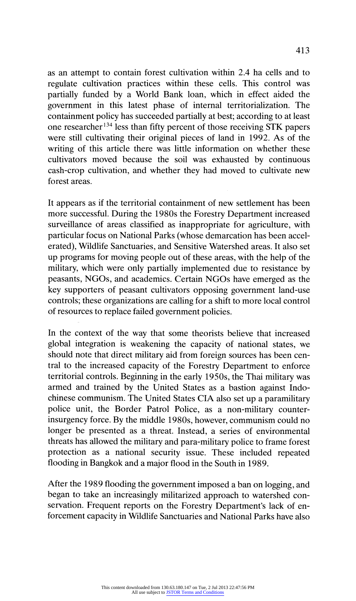**as an attempt to contain forest cultivation within 2.4 ha cells and to regulate cultivation practices within these cells. This control was partially funded by a World Bank loan, which in effect aided the government in this latest phase of internal territorialization. The containment policy has succeeded partially at best; according to at least one researcher'34 less than fifty percent of those receiving STK papers were still cultivating their original pieces of land in 1992. As of the writing of this article there was little information on whether these cultivators moved because the soil was exhausted by continuous cash-crop cultivation, and whether they had moved to cultivate new forest areas.** 

**It appears as if the territorial containment of new settlement has been more successful. During the 1980s the Forestry Department increased surveillance of areas classified as inappropriate for agriculture, with particular focus on National Parks (whose demarcation has been accelerated), Wildlife Sanctuaries, and Sensitive Watershed areas. It also set up programs for moving people out of these areas, with the help of the military, which were only partially implemented due to resistance by peasants, NGOs, and academics. Certain NGOs have emerged as the key supporters of peasant cultivators opposing government land-use controls; these organizations are calling for a shift to more local control of resources to replace failed government policies.** 

**In the context of the way that some theorists believe that increased global integration is weakening the capacity of national states, we should note that direct military aid from foreign sources has been central to the increased capacity of the Forestry Department to enforce territorial controls. Beginning in the early 1950s, the Thai military was armed and trained by the United States as a bastion against Indochinese communism. The United States CIA also set up a paramilitary police unit, the Border Patrol Police, as a non-military counterinsurgency force. By the middle 1980s, however, communism could no longer be presented as a threat. Instead, a series of environmental threats has allowed the military and para-military police to frame forest protection as a national security issue. These included repeated flooding in Bangkok and a major flood in the South in 1989.** 

**After the 1989 flooding the government imposed a ban on logging, and began to take an increasingly militarized approach to watershed conservation. Frequent reports on the Forestry Department's lack of enforcement capacity in Wildlife Sanctuaries and National Parks have also**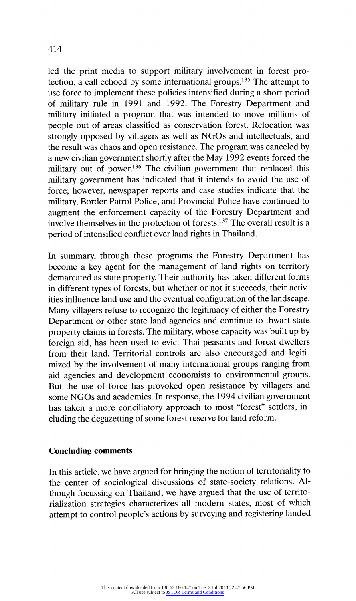**led the print media to support military involvement in forest protection, a call echoed by some international groups.135 The attempt to use force to implement these policies intensified during a short period of military rule in 1991 and 1992. The Forestry Department and military initiated a program that was intended to move millions of people out of areas classified as conservation forest. Relocation was strongly opposed by villagers as well as NGOs and intellectuals, and the result was chaos and open resistance. The program was canceled by a new civilian government shortly after the May 1992 events forced the military out of power.136 The civilian government that replaced this military government has indicated that it intends to avoid the use of force; however, newspaper reports and case studies indicate that the military, Border Patrol Police, and Provincial Police have continued to augment the enforcement capacity of the Forestry Department and involve themselves in the protection of forests.137 The overall result is a period of intensified conflict over land rights in Thailand.** 

**In summary, through these programs the Forestry Department has become a key agent for the management of land rights on territory demarcated as state property. Their authority has taken different forms in different types of forests, but whether or not it succeeds, their activities influence land use and the eventual configuration of the landscape. Many villagers refuse to recognize the legitimacy of either the Forestry Department or other state land agencies and continue to thwart state property claims in forests. The military, whose capacity was built up by foreign aid, has been used to evict Thai peasants and forest dwellers from their land. Territorial controls are also encouraged and legitimized by the involvement of many international groups ranging from aid agencies and development economists to environmental groups. But the use of force has provoked open resistance by villagers and some NGOs and academics. In response, the 1994 civilian government has taken a more conciliatory approach to most "forest" settlers, including the degazetting of some forest reserve for land reform.** 

#### **Concluding comments**

**In this article, we have argued for bringing the notion of territoriality to the center of sociological discussions of state-society relations. Although focussing on Thailand, we have argued that the use of territorialization strategies characterizes all modern states, most of which attempt to control people's actions by surveying and registering landed**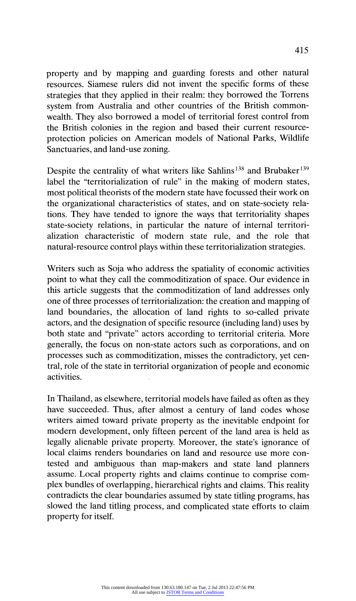**property and by mapping and guarding forests and other natural resources. Siamese rulers did not invent the specific forms of these strategies that they applied in their realm: they borrowed the Torrens system from Australia and other countries of the British commonwealth. They also borrowed a model of territorial forest control from the British colonies in the region and based their current resourceprotection policies on American models of National Parks, Wildlife Sanctuaries, and land-use zoning.** 

Despite the centrality of what writers like Sahlins<sup>138</sup> and Brubaker<sup>139</sup> **label the "territorialization of rule" in the making of modern states, most political theorists of the modern state have focussed their work on the organizational characteristics of states, and on state-society relations. They have tended to ignore the ways that territoriality shapes state-society relations, in particular the nature of internal territorialization characteristic of modern state rule, and the role that natural-resource control plays within these territorialization strategies.** 

**Writers such as Soja who address the spatiality of economic activities point to what they call the commoditization of space. Our evidence in this article suggests that the commoditization of land addresses only one of three processes of territorialization: the creation and mapping of land boundaries, the allocation of land rights to so-called private actors, and the designation of specific resource (including land) uses by both state and "private" actors according to territorial criteria. More generally, the focus on non-state actors such as corporations, and on processes such as commoditization, misses the contradictory, yet central, role of the state in territorial organization of people and economic activities.** 

**In Thailand, as elsewhere, territorial models have failed as often as they have succeeded. Thus, after almost a century of land codes whose writers aimed toward private property as the inevitable endpoint for modern development, only fifteen percent of the land area is held as legally alienable private property. Moreover, the state's ignorance of local claims renders boundaries on land and resource use more contested and ambiguous than map-makers and state land planners assume. Local property rights and claims continue to comprise complex bundles of overlapping, hierarchical rights and claims. This reality contradicts the clear boundaries assumed by state titling programs, has slowed the land titling process, and complicated state efforts to claim property for itself.**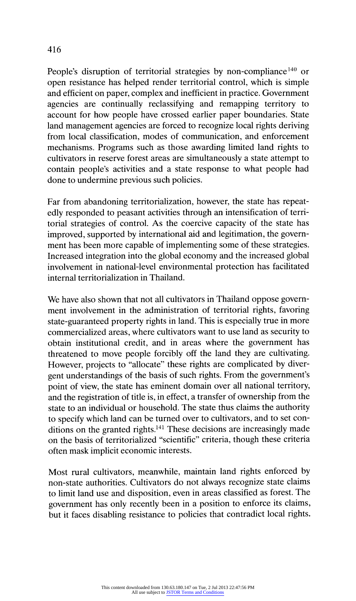People's disruption of territorial strategies by non-compliance<sup>140</sup> or **open resistance has helped render territorial control, which is simple and efficient on paper, complex and inefficient in practice. Government agencies are continually reclassifying and remapping territory to account for how people have crossed earlier paper boundaries. State land management agencies are forced to recognize local rights deriving from local classification, modes of communication, and enforcement mechanisms. Programs such as those awarding limited land rights to cultivators in reserve forest areas are simultaneously a state attempt to contain people's activities and a state response to what people had done to undermine previous such policies.** 

**Far from abandoning territorialization, however, the state has repeatedly responded to peasant activities through an intensification of territorial strategies of control. As the coercive capacity of the state has improved, supported by international aid and legitimation, the government has been more capable of implementing some of these strategies. Increased integration into the global economy and the increased global involvement in national-level environmental protection has facilitated internal territorialization in Thailand.** 

**We have also shown that not all cultivators in Thailand oppose government involvement in the administration of territorial rights, favoring state-guaranteed property rights in land. This is especially true in more commercialized areas, where cultivators want to use land as security to obtain institutional credit, and in areas where the government has threatened to move people forcibly off the land they are cultivating. However, projects to "allocate" these rights are complicated by divergent understandings of the basis of such rights. From the government's point of view, the state has eminent domain over all national territory, and the registration of title is, in effect, a transfer of ownership from the state to an individual or household. The state thus claims the authority to specify which land can be turned over to cultivators, and to set conditions on the granted rights.141 These decisions are increasingly made on the basis of territorialized "scientific" criteria, though these criteria often mask implicit economic interests.** 

**Most rural cultivators, meanwhile, maintain land rights enforced by non-state authorities. Cultivators do not always recognize state claims to limit land use and disposition, even in areas classified as forest. The government has only recently been in a position to enforce its claims, but it faces disabling resistance to policies that contradict local rights.**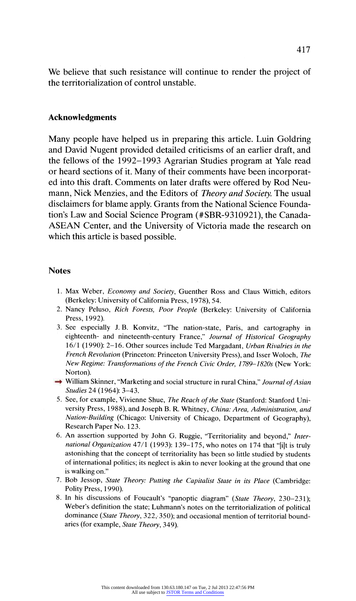**We believe that such resistance will continue to render the project of the territorialization of control unstable.** 

#### **Acknowledgments**

**Many people have helped us in preparing this article. Luin Goldring and David Nugent provided detailed criticisms of an earlier draft, and the fellows of the 1992-1993 Agrarian Studies program at Yale read or heard sections of it. Many of their comments have been incorporated into this draft. Comments on later drafts were offered by Rod Neumann, Nick Menzies, and the Editors of Theory and Society. The usual disclaimers for blame apply. Grants from the National Science Foundation's Law and Social Science Program (#SBR-9310921), the Canada-ASEAN Center, and the University of Victoria made the research on which this article is based possible.** 

#### **Notes**

- **1. Max Weber, Economy and Society, Guenther Ross and Claus Wittich, editors (Berkeley: University of California Press, 1978), 54.**
- **2. Nancy Peluso, Rich Forests, Poor People (Berkeley: University of California Press, 1992).**
- **3. See especially J. B. Konvitz, "The nation-state, Paris, and cartography in eighteenth- and nineteenth-century France," Journal of Historical Geography 16/1 (1990): 2-16. Other sources include Ted Margadant, Urban Rivalries in the French Revolution (Princeton: Princeton University Press), and Isser Woloch, The New Regime: Transformations of the French Civic Order, 1789-1820s (New York: Norton).**
- **→ William Skinner, "Marketing and social structure in rural China," Journal of Asian Studies 24 (1964): 3-43.**
- **5. See, for example, Vivienne Shue, The Reach of the State (Stanford: Stanford University Press, 1988), and Joseph B. R. Whitney, China: Area, Administration, and Nation-Building (Chicago: University of Chicago, Department of Geography), Research Paper No. 123.**
- **6. An assertion supported by John G. Ruggie, "Territoriality and beyond," International Organization 47/1 (1993): 139-175, who notes on 174 that "lilt is truly astonishing that the concept of territoriality has been so little studied by students of international politics; its neglect is akin to never looking at the ground that one is walking on."**
- **7. Bob Jessop, State Theory: Putting the Capitalist State in its Place (Cambridge: Polity Press, 1990).**
- **8. In his discussions of Foucault's "panoptic diagram" (State Theory, 230-231); Weber's definition the state; Luhmann's notes on the territorialization of political**  dominance (State Theory, 322, 350); and occasional mention of territorial bound**aries (for example, State Theory, 349).**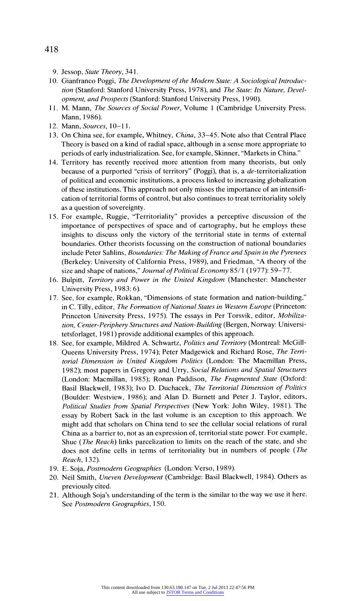- **9. Jessop, State Theory, 341.**
- **10. Gianfranco Poggi, The Development of the Modern State: A Sociological Introduction (Stanford: Stanford University Press, 1978), and The State: Its Nature, Development, and Prospects (Stanford: Stanford University Press, 1990).**
- **11. M. Mann, The Sources of Social Power, Volume 1 (Cambridge University Press. Mann,1986).**
- 12. Mann, Sources, 10-11.
- **13. On China see, for example, Whitney, China, 33-45. Note also that Central Place Theory is based on a kind of radial space, although in a sense more appropriate to periods of early industrialization. See, for example, Skinner, "Markets in China."**
- **14. Territory has recently received more attention from many theorists, but only because of a purported "crisis of territory" (Poggi), that is, a de-territorialization of political and economic institutions, a process linked to increasing globalization of these institutions. This approach not only misses the importance of an intensification of territorial forms of control, but also continues to treat territoriality solely as a question of sovereignty.**
- **15. For example, Ruggie, "Territoriality" provides a perceptive discussion of the importance of perspectives of space and of cartography, but he employs these insights to discuss only the victory of the territorial state in terms of external boundaries. Other theorists focussing on the construction of national boundaries include Peter Sahlins, Boundaries: The Making of France and Spain in the Pyrenees (Berkeley: University of California Press, 1989), and Friedman, "A theory of the size and shape of nations," Journal of Political Economy 85/1 (1977): 59-77.**
- **16. Bulpitt, Territory and Power in the United Kingdom (Manchester: Manchester University Press, 1983: 6).**
- **17. See, for example, Rokkan, "Dimensions of state formation and nation-building," in C. Tilly, editor, The Formation of National States in Western Europe (Princeton: Princeton University Press, 1975). The essays in Per Torsvik, editor, Mobilization, Center-Periphery Structures and Nation-Building (Bergen, Norway: Universitetsforlaget, 1981) provide additional examples of this approach.**
- **18. See, for example, Mildred A. Schwartz, Politics and Territory (Montreal: McGill-Queens University Press, 1974); Peter Madgewick and Richard Rose, The Territorial Dimension in United Kingdom Politics (London: The Macmillan Press, 1982); most papers in Gregory and Urry, Social Relations and Spatial Structures (London: Macmillan, 1985); Ronan Paddison, The Fragmented State (Oxford: Basil Blackwell, 1983); Ivo D. Duchacek, The Territorial Dimension of Politics (Boulder: Westview, 1986); and Alan D. Burnett and Peter J. Taylor, editors, Political Studies from Spatial Perspectives (New York: John Wiley, 1981). The essay by Robert Sack in the last volume is an exception to this approach. We might add that scholars on China tend to see the cellular social relations of rural China as a barrier to, not as an expression of, territorial state power. For example, Shue (The Reach) links parcelization to limits on the reach of the state, and she does not define cells in terms of territoriality but in numbers of people (The Reach, 132).**
- **19. E. Soja, Postmodern Geographies (London: Verso, 1989).**
- **20. Neil Smith, Uneven Development (Cambridge: Basil Blackwell, 1984). Others as previously cited.**
- **21. Although Soja's understanding of the term is the similar to the way we use it here. See Postmodern Geographies, 150.**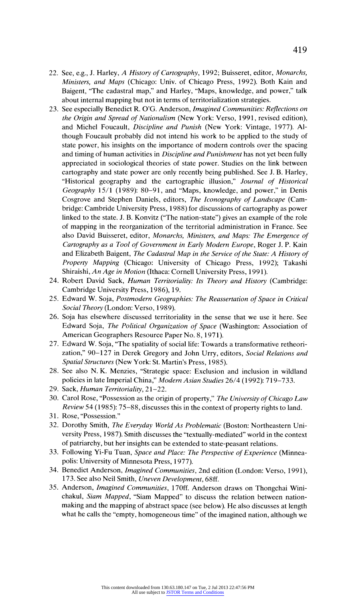- **22. See, e.g., J. Harley, A History of Cartography, 1992; Buisseret, editor, Monarchs, Ministers, and Maps (Chicago: Univ. of Chicago Press, 1992). Both Kain and Baigent, "The cadastral map," and Harley, "Maps, knowledge, and power," talk about internal mapping but not in terms of territorialization strategies.**
- **23. See especially Benedict R. O'G. Anderson, Imagined Communities: Reflections on the Origin and Spread of Nationalism (New York: Verso, 1991, revised edition), and Michel Foucault, Discipline and Punish (New York: Vintage, 1977). Although Foucault probably did not intend his work to be applied to the study of state power, his insights on the importance of modern controls over the spacing and timing of human activities in Discipline and Punishment has not yet been fully appreciated in sociological theories of state power. Studies on the link between cartography and state power are only recently being published. See J. B. Harley, "Historical geography and the cartographic illusion," Journal of Historical Geography 15/1 (1989): 80-91, and "Maps, knowledge, and power," in Denis Cosgrove and Stephen Daniels, editors, The Iconography of Landscape (Cambridge: Cambride University Press, 1988) for discussions of cartography as power linked to the state. J. B. Konvitz ("The nation-state") gives an example of the role of mapping in the reorganization of the territorial administration in France. See also David Buisseret, editor, Monarchs, Ministers, and Maps: The Emergence of Cartography as a Tool of Government in Early Modern Europe, Roger J. P. Kain and Elizabeth Baigent, The Cadastral Map in the Service of the State: A History of Property Mapping (Chicago: University of Chicago Press, 1992); Takashi Shiraishi, An Age in Motion (Ithaca: Cornell University Press, 1991).**
- **24. Robert David Sack, Human Territoriality: Its Theory and History (Cambridge: Cambridge University Press, 1986), 19.**
- **25. Edward W. Soja, Postmodern Geographies: The Reassertation of Space in Critical Social Theory (London: Verso, 1989).**
- **26. Soja has elsewhere discussed territoriality in the sense that we use it here. See Edward Soja, The Political Organization of Space (Washington: Association of American Geographers Resource Paper No. 8, 1971).**
- **27. Edward W. Soja, "The spatiality of social life: Towards a transformative retheorization," 90-127 in Derek Gregory and John Urry, editors, Social Relations and Spatial Structures (New York: St. Martin's Press, 1985).**
- **28. See also N. K. Menzies, "Strategic space: Exclusion and inclusion in wildland policies in late Imperial China," Modern Asian Studies 26/4 (1992): 719-733.**
- **29. Sack, Human Territoriality, 21-22.**
- **30. Carol Rose, "Possession as the origin of property," The University of Chicago Law Review 54 (1985): 75-88, discusses this in the context of property rights to land.**
- **31. Rose, "Possession."**
- **32. Dorothy Smith, The Everyday World As Problematic (Boston: Northeastern University Press, 1987). Smith discusses the "textually-mediated" world in the context of patriarchy, but her insights can be extended to state-peasant relations.**
- **33. Following Yi-Fu Tuan, Space and Place: The Perspective of Experience (Minneapolis: University of Minnesota Press, 1977).**
- **34. Benedict Anderson, Imagined Communities, 2nd edition (London: Verso, 1991), 173. See also Neil Smith, Uneven Development, 68ff.**
- **35. Anderson, Imagined Communities, 170ff. Anderson draws on Thongchai Winichakul, Siam Mapped, "Siam Mapped" to discuss the relation between nationmaking and the mapping of abstract space (see below). He also discusses at length what he calls the "empty, homogeneous time" of the imagined nation, although we**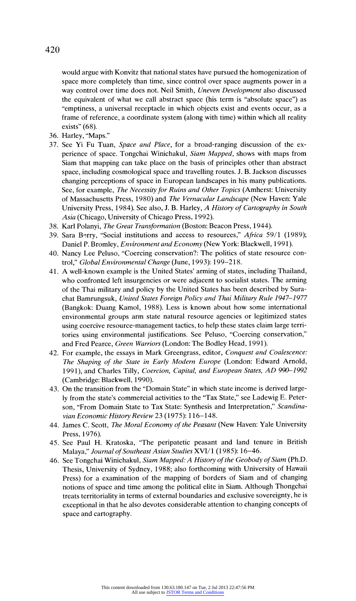**would argue with Konvitz that national states have pursued the homogenization of space more completely than time, since control over space augments power in a way control over time does not. Neil Smith, Uneven Development also discussed the equivalent of what we call abstract space (his term is "absolute space") as "emptiness, a universal receptacle in which objects exist and events occur, as a frame of reference, a coordinate system (along with time) within which all reality exists" (68).** 

- **36. Harley, "Maps."**
- **37. See Yi Fu Tuan, Space and Place, for a broad-ranging discussion of the experience of space. Tongchai Winichakul, Siam Mapped, shows with maps from Siam that mapping can take place on the basis of principles other than abstract space, including cosmological space and travelling routes. J. B. Jackson discusses changing perceptions of space in European landscapes in his many publications. See, for example, The Necessity for Ruins and Other Topics (Amherst: University of Massachusetts Press, 1980) and The Vernacular Landscape (New Haven: Yale University Press, 1984). See also, J. B. Harley, A History of Cartography in South Asia (Chicago, University of Chicago Press, 1992).**
- **38. Karl Polanyi, The Great Transformation (Boston: Beacon Press, 1944).**
- **39. Sara Berry, "Social institutions and access to resources," Africa 59/1 (1989); Daniel P. Bromley, Environment and Economy (New York: Blackwell, 1991).**
- **40. Nancy Lee Peluso, "Coercing conservation?: The politics of state resource control," Global Environmental Change (June, 1993): 199-218.**
- **41. A well-known example is the United States' arming of states, including Thailand, who confronted left insurgencies or were adjacent to socialist states. The arming of the Thai military and policy by the United States has been described by Surachat Bamrungsuk, United States Foreign Policy and Thai Military Rule 1947-1977 (Bangkok: Duang Kamol, 1988). Less is known about how some international environmental groups arm state natural resource agencies or legitimized states using coercive resource-management tactics, to help these states claim large territories using environmental justifications. See Peluso, "Coercing conservation," and Fred Pearce, Green Warriors (London: The Bodley Head, 1991).**
- **42. For example, the essays in Mark Greengrass, editor, Conquest and Coalescence: The Shaping of the State in Early Modern Europe (London: Edward Arnold, 1991), and Charles Tilly, Coercion, Capital, and European States, AD 990-1992 (Cambridge: Blackwell, 1990).**
- **43. On the transition from the "Domain State" in which state income is derived largely from the state's commercial activities to the "Tax State," see Ladewig E. Peterson, "From Domain State to Tax State: Synthesis and Interpretation," Scandinavian Economic History Review 23 (1975): 116-148.**
- **44. James C. Scott, The Moral Economy of the Peasant (New Haven: Yale University Press, 1976).**
- **45. See Paul H. Kratoska, "The peripatetic peasant and land tenure in British Malaya," Journal of Southeast Asian Studies XVI/1 (1985): 16-46.**
- **46. See Tongchai Winichakul, Siam Mapped: A History of the Geobody of Siam (Ph.D. Thesis, University of Sydney, 1988; also forthcoming with University of Hawaii Press) for a examination of the mapping of borders of Siam and of changing notions of space and time among the political elite in Siam. Although Thongchai treats territoriality in terms of external boundaries and exclusive sovereignty, he is exceptional in that he also devotes considerable attention to changing concepts of space and cartography.**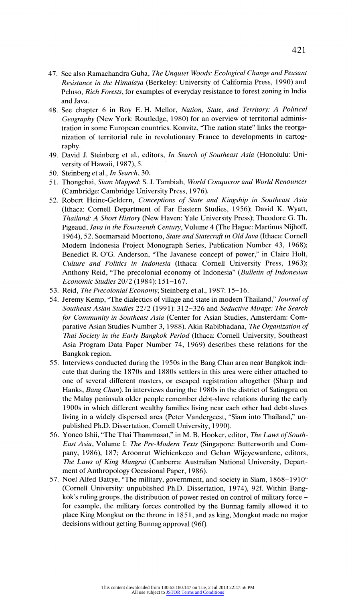- **47. See also Ramachandra Guha, The Unquiet Woods: Ecological Change and Peasant Resistance in the Himalaya (Berkeley: University of California Press, 1990) and Peluso, Rich Forests, for examples of everyday resistance to forest zoning in India and Java.**
- **48. See chapter 6 in Roy E. H. Mellor, Nation, State, and Territory: A Political Geography (New York: Routledge, 1980) for an overview of territorial administration in some European countries. Konvitz, "The nation state" links the reorganization of territorial rule in revolutionary France to developments in cartography.**
- **49. David J. Steinberg et al., editors, In Search of Southeast Asia (Honolulu: University of Hawaii, 1987), 5.**
- **50. Steinberg et al., In Search, 30.**
- **51. Thongchai, Siam Mapped; S. J. Tambiah, World Conqueror and World Renouncer (Cambridge: Cambridge University Press, 1976).**
- **52. Robert Heine-Geldern, Conceptions of State and Kingship in Southeast Asia (Ithaca: Cornell Department of Far Eastern Studies, 1956); David K. Wyatt, Thailand: A Short History (New Haven: Yale University Press); Theodore G. Th. Pigeaud, Java in the Fourteenth Century, Volume 4 (The Hague: Martinus Nijhoff, 1964), 52. Soemarsaid Moertono, State and Statecraft in Old Java (Ithaca: Cornell Modern Indonesia Project Monograph Series, Publication Number 43, 1968); Benedict R. O'G. Anderson, "The Javanese concept of power," in Claire Holt, Culture and Politics in Indonesia (Ithaca: Cornell University Press, 1963); Anthony Reid, "The precolonial economy of Indonesia" (Bulletin of Indonesian Economic Studies 20/2 (1984): 151-167.**
- **53. Reid, The Precolonial Economy; Steinberg et al., 1987: 15-16.**
- **54. Jeremy Kemp, "The dialectics of village and state in modern Thailand," Journal of Southeast Asian Studies 22/2 (1991): 312-326 and Seductive Mirage: The Search for Community in Southeast Asia (Center for Asian Studies, Amsterdam: Comparative Asian Studies Number 3, 1988). Akin Rabibhadana, The Organization of Thai Society in the Early Bangkok Period (Ithaca: Cornell University, Southeast Asia Program Data Paper Number 74, 1969) describes these relations for the Bangkok region.**
- **55. Interviews conducted during the 1950s in the Bang Chan area near Bangkok indicate that during the 1870s and 1880s settlers in this area were either attached to one of several different masters, or escaped registration altogether (Sharp and Hanks, Bang Chan). In interviews during the 1980s in the district of Satingpra on the Malay peninsula older people remember debt-slave relations during the early 1900s in which different wealthy families living near each other had debt-slaves living in a widely dispersed area (Peter Vandergeest, "Siam into Thailand," unpublished Ph.D. Dissertation, Cornell University, 1990).**
- **56. Yoneo Ishii, "The Thai Thammasat," in M. B. Hooker, editor, The Laws of South-East Asia, Volume I: The Pre-Modern Texts (Singapore: Butterworth and Company, 1986), 187; Aroonrut Wichienkeeo and Gehan Wijeyewardene, editors, The Laws of King Mangrai (Canberra: Australian National University, Department of Anthropology Occasional Paper, 1986).**
- **57. Noel Alfed Battye, "The military, government, and society in Siam, 1868-1910" (Cornell University: unpublished Ph.D. Dissertation, 1974), 92f. Within Bangkok's ruling groups, the distribution of power rested on control of military force for example, the military forces controlled by the Bunnag family allowed it to place King Mongkut on the throne in 1851, and as king, Mongkut made no major decisions without getting Bunnag approval (96f).**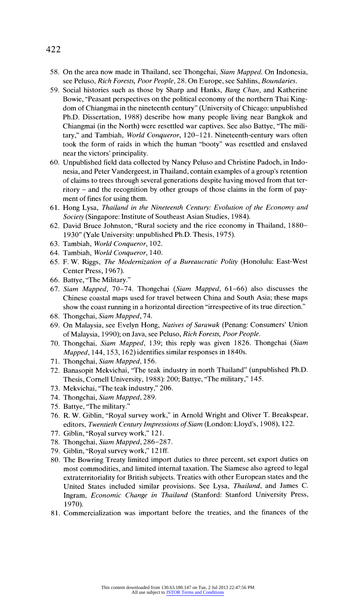- **58. On the area now made in Thailand, see Thongchai, Siam Mapped. On Indonesia, see Peluso, Rich Forests, Poor People, 28. On Europe, see Sahlins, Boundaries.**
- **59. Social histories such as those by Sharp and Hanks, Bang Chan, and Katherine Bowie, "Peasant perspectives on the political economy of the northern Thai Kingdom of Chiangmai in the nineteenth century" (University of Chicago: unpublished Ph.D. Dissertation, 1988) describe how many people living near Bangkok and Chiangmai (in the North) were resettled war captives. See also Battye, "The military," and Tambiah, World Conqueror, 120-121. Nineteenth-century wars often took the form of raids in which the human "booty" was resettled and enslaved near the victors' principality.**
- **60. Unpublished field data collected by Nancy Peluso and Christine Padoch, in Indonesia, and Peter Vandergeest, in Thailand, contain examples of a group's retention of claims to trees through several generations despite having moved from that territory - and the recognition by other groups of those claims in the form of payment of fines for using them.**
- **61. Hong Lysa, Thailand in the Nineteenth Century: Evolution of the Economy and Society (Singapore: Institute of Southeast Asian Studies, 1984).**
- **62. David Bruce Johnston, "Rural society and the rice economy in Thailand, 1880- 1930" (Yale University: unpublished Ph.D. Thesis, 1975).**
- **63. Tambiah, World Conqueror, 102.**
- **64. Tambiah, World Conqueror, 140.**
- **65. F. W. Riggs, The Modernization of a Bureaucratic Polity (Honolulu: East-West Center Press, 1967).**
- **66. Battye, "The Military."**
- **67. Siam Mapped, 70-74. Thongchai (Siam Mapped, 61-66) also discusses the Chinese coastal maps used for travel between China and South Asia; these maps show the coast running in a horizontal direction "irrespective of its true direction."**
- **68. Thongchai, Siam Mapped, 74.**
- **69. On Malaysia, see Evelyn Hong, Natives of Sarawak (Penang: Consumers' Union of Malaysia, 1990); on Java, see Peluso, Rich Forests, Poor People.**
- **70. Thongchai, Siam Mapped, 139; this reply was given 1826. Thongchai (Siam Mapped, 144, 153, 162) identifies similar responses in 1840s.**
- **71. Thongchai, Siam Mapped, 156.**
- **72. Banasopit Mekvichai, "The teak industry in north Thailand" (unpublished Ph.D. Thesis, Cornell University, 1988): 200; Battye, "The military," 145.**
- **73. Mekvichai, "The teak industry," 206.**
- **74. Thongchai, Siam Mapped, 289.**
- **75. Battye, "The military."**
- **76. R. W. Giblin, "Royal survey work," in Arnold Wright and Oliver T. Breakspear, editors, Twentieth Century Impressions of Siam (London: Lloyd's, 1908), 122.**
- **77. Giblin, "Royal survey work," 121.**
- **78. Thongchai, Siam Mapped, 286-287.**
- **79. Giblin, "Royal survey work," 121ff.**
- **80. The Bowring Treaty limited import duties to three percent, set export duties on most commodities, and limited internal taxation. The Siamese also agreed to legal extraterritoriality for British subjects. Treaties with other European states and the United States included similar provisions. See Lysa, Thailand, and James C. Ingram, Economic Change in Thailand (Stanford: Stanford University Press, 1970).**
- **81. Commercialization was important before the treaties, and the finances of the**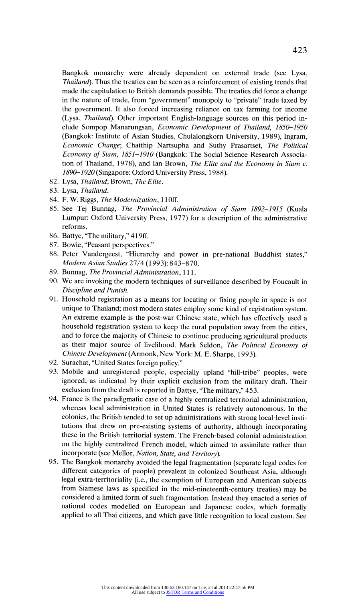**Bangkok monarchy were already dependent on external trade (see Lysa, Thailand). Thus the treaties can be seen as a reinforcement of existing trends that made the capitulation to British demands possible. The treaties did force a change in the nature of trade, from "government" monopoly to "private" trade taxed by the government. It also forced increasing reliance on tax farming for income (Lysa, Thailand). Other important English-language sources on this period include Sompop Manarungsan, Economic Development of Thailand, 1850-1950 (Bangkok: Institute of Asian Studies, Chulalongkorn University, 1989), Ingram, Economic Change; Chatthip Nartsupha and Suthy Prasartset, The Political Economy of Siam, 1851-1910 (Bangkok: The Social Science Research Association of Thailand, 1978), and Ian Brown, The Elite and the Economy in Siam c. 1890-1920 (Singapore: Oxford University Press, 1988).** 

- **82. Lysa, Thailand; Brown, The Elite.**
- **83. Lysa, Thailand.**
- **84. F. W. Riggs, The Modernization, 11 0ff.**
- **85. See Tej Bunnag, The Provincial Administration of Siam 1892-1915 (Kuala Lumpur: Oxford University Press, 1977) for a description of the administrative reforms.**
- **86. Battye, "The military," 419ff.**
- **87. Bowie, "Peasant perspectives."**
- **88. Peter Vandergeest, "Hierarchy and power in pre-national Buddhist states," Modern Asian Studies 27/4 (1993): 843-870.**
- **89. Bunnag, The Provincial Administration, 111.**
- **90. We are invoking the modern techniques of surveillance described by Foucault in Discipline and Punish.**
- **91. Household registration as a means for locating or fixing people in space is not unique to Thailand; most modern states employ some kind of registration system. An extreme example is the post-war Chinese state, which has effectively used a household registration system to keep the rural population away from the cities, and to force the majority of Chinese to continue producing agricultural products as their major source of livelihood. Mark Seldon, The Political Economy of Chinese Development (Armonk, New York: M. E. Sharpe, 1993).**
- **92. Surachat, "United States foreign policy."**
- **93. Mobile and unregistered people, especially upland "hill-tribe" peoples, were ignored, as indicated by their explicit exclusion from the military draft. Their exclusion from the draft is reported in Battye, "The military," 453.**
- **94. France is the paradigmatic case of a highly centralized territorial administration, whereas local administration in United States is relatively autonomous. In the colonies, the British tended to set up administrations with strong local-level institutions that drew on pre-existing systems of authority, although incorporating these in the British territorial system. The French-based colonial administration on the highly centralized French model, which aimed to assimilate rather than incorporate (see Mellor, Nation, State, and Territory).**
- **95. The Bangkok monarchy avoided the legal fragmentation (separate legal codes for different categories of people) prevalent in colonized Southeast Asia, although legal extra-territoriality (i.e., the exemption of European and American subjects from Siamese laws as specified in the mid-nineteenth-century treaties) may be considered a limited form of such fragmentation. Instead they enacted a series of national codes modelled on European and Japanese codes, which formally applied to all Thai citizens, and which gave little recognition to local custom. See**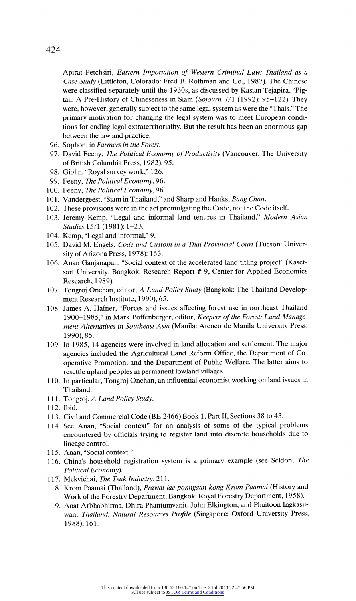**Apirat Petchsiri, Eastern Importation of Western Criminal Law: Thailand as a Case Study (Littleton, Colorado: Fred B. Rothman and Co., 1987). The Chinese were classified separately until the 1930s, as discussed by Kasian Tejapira, "Pigtail: A Pre-History of Chineseness in Siam (Sojourn 7/1 (1992): 95-122). They were, however, generally subject to the same legal system as were the "Thais." The primary motivation for changing the legal system was to meet European conditions for ending legal extraterritoriality. But the result has been an enormous gap between the law and practice.** 

- **96. Sophon, in Farmers in the Forest.**
- **97. David Feeny, The Political Economy of Productivity (Vancouver: The University of British Columbia Press, 1982), 95.**
- **98. Giblin, "Royal survey work," 126.**
- **99. Feeny, The Political Economy, 96.**
- **100. Feeny, The Political Economy, 96.**
- **101. Vandergeest, "Siam in Thailand," and Sharp and Hanks, Bang Chan.**
- **102. These provisions were in the act promulgating the Code, not the Code itself.**
- **103. Jeremy Kemp, "Legal and informal land tenures in Thailand," Modern Asian Studies 15/1(1981): 1-23.**
- **104. Kemp, "Legal and informal," 9.**
- **105. David M. Engels, Code and Custom in a Thai Provincial Court (Tucson: University of Arizona Press, 1978): 163.**
- **106. Anan Ganjanapan, "Social context of the accelerated land titling project" (Kasetsart University, Bangkok: Research Report # 9, Center for Applied Economics Research, 1989).**
- **107. Tongroj Onchan, editor, A Land Policy Study (Bangkok: The Thailand Development Research Institute, 1990), 65.**
- **108. James A. Hafner, "Forces and issues affecting forest use in northeast Thailand 1900-1985," in Mark Poffenberger, editor, Keepers of the Forest: Land Management Alternatives in Southeast Asia (Manila: Ateneo de Manila University Press, 1990), 85.**
- **109. In 1985, 14 agencies were involved in land allocation and settlement. The major agencies included the Agricultural Land Reform Office, the Department of Cooperative Promotion, and the Department of Public Welfare. The latter aims to resettle upland peoples in permanent lowland villages.**
- **110. In particular, Tongroj Onchan, an influential economist working on land issues in Thailand.**
- **111. Tongroj, A Land Policy Study.**
- **112. Ibid.**
- **113. Civil and Commercial Code (BE 2466) Book 1, Part II, Sections 38 to 43.**
- **114. See Anan, "Social context" for an analysis of some of the typical problems encountered by officials trying to register land into discrete households due to lineage control.**
- **115. Anan, "Social context."**
- **116. China's household registration system is a primary example (see Seldon, The Political Economy).**
- **117. Mekvichai, The Teak Industry, 211.**
- **118. Krom Paamai (Thailand), Prawat lae ponngaan kong Krom Paamai (History and Work of the Forestry Department, Bangkok: Royal Forestry Department, 1958).**
- **119. Anat Arbhabhirma, Dhira Phantumvanit, John Elkington, and Phaitoon Ingkasuwan, Thailand: Natural Resources Profile (Singapore: Oxford University Press, 1988), 161.**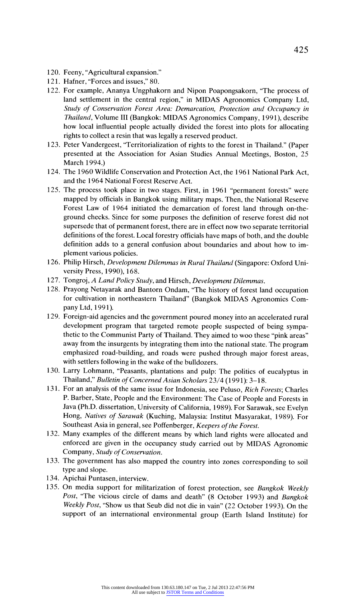- **120. Feeny, "Agricultural expansion."**
- **121. Hafner, "Forces and issues," 80.**
- **122. For example, Ananya Ungphakorn and Nipon Poapongsakorn, "The process of land settlement in the central region," in MIDAS Agronomics Company Ltd, Study of Conservation Forest Area: Demarcation, Protection and Occupancy in Thailand, Volume III (Bangkok: MIDAS Agronomics Company, 1991), describe how local influential people actually divided the forest into plots for allocating rights to collect a resin that was legally a reserved product.**
- **123. Peter Vandergeest, "Territorialization of rights to the forest in Thailand." (Paper presented at the Association for Asian Studies Annual Meetings, Boston, 25 March 1994.)**
- **124. The 1960 Wildlife Conservation and Protection Act, the 1961 National Park Act, and the 1964 National Forest Reserve Act.**
- **125. The process took place in two stages. First, in 1961 "permanent forests" were mapped by officials in Bangkok using military maps. Then, the National Reserve Forest Law of 1964 initiated the demarcation of forest land through on-theground checks. Since for some purposes the definition of reserve forest did not supersede that of permanent forest, there are in effect now two separate territorial definitions of the forest. Local forestry officials have maps of both, and the double definition adds to a general confusion about boundaries and about how to implement various policies.**
- **126. Philip Hirsch, Development Dilemmas in Rural Thailand (Singapore: Oxford University Press, 1990), 168.**
- **127. Tongroj, A Land Policy Study, and Hirsch, Development Dilemmas.**
- **128. Prayong Netayarak and Bantorn Ondam, "The history of forest land occupation for cultivation in northeastern Thailand" (Bangkok MIDAS Agronomics Company Ltd, 1991).**
- **129. Foreign-aid agencies and the government poured money into an accelerated rural development program that targeted remote people suspected of being sympathetic to the Communist Party of Thailand. They aimed to woo these "pink areas" away from the insurgents by integrating them into the national state. The program emphasized road-building, and roads were pushed through major forest areas, with settlers following in the wake of the bulldozers.**
- **130. Larry Lohmann, "Peasants, plantations and pulp: The politics of eucalyptus in Thailand," Bulletin of Concerned Asian Scholars 23/4 (1991): 3-18.**
- **131. For an analysis of the same issue for Indonesia, see Peluso, Rich Forests; Charles P. Barber, State, People and the Environment: The Case of People and Forests in Java (Ph.D. dissertation, University of California, 1989). For Sarawak, see Evelyn Hong, Natives of Sarawak (Kuching, Malaysia: Institut Masyarakat, 1989). For Southeast Asia in general, see Poffenberger, Keepers of the Forest.**
- **132. Many examples of the different means by which land rights were allocated and enforced are given in the occupancy study carried out by MIDAS Agronomic Company, Study of Conservation.**
- **133. The government has also mapped the country into zones corresponding to soil type and slope.**
- **134. Apichai Puntasen, interview.**
- **135. On media support for militarization of forest protection, see Bangkok Weekly Post, "The vicious circle of dams and death" (8 October 1993) and Bangkok Weekly Post, "Show us that Seub did not die in vain" (22 October 1993). On the support of an international environmental group (Earth Island Institute) for**